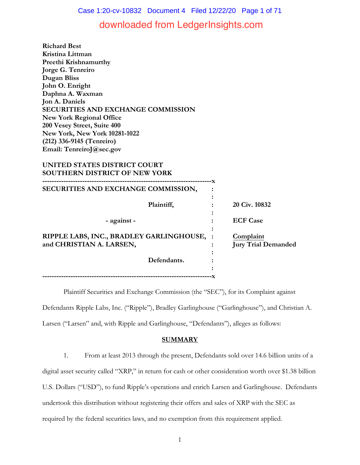Case 1:20-cv-10832 Document 4 Filed 12/22/20 Page 1 of 71

# downloaded from LedgerInsights.com

**Richard Best Kristina Littman Preethi Krishnamurthy Jorge G. Tenreiro Dugan Bliss John O. Enright Daphna A. Waxman Jon A. Daniels SECURITIES AND EXCHANGE COMMISSION New York Regional Office 200 Vesey Street, Suite 400 New York, New York 10281-1022 (212) 336-9145 (Tenreiro) Email: TenreiroJ@sec.gov**

## **UNITED STATES DISTRICT COURT SOUTHERN DISTRICT OF NEW YORK**

| SECURITIES AND EXCHANGE COMMISSION,                                    |                                         |
|------------------------------------------------------------------------|-----------------------------------------|
| Plaintiff,                                                             | 20 Civ. 10832                           |
| - against -                                                            | <b>ECF Case</b>                         |
| RIPPLE LABS, INC., BRADLEY GARLINGHOUSE, :<br>and CHRISTIAN A. LARSEN, | Complaint<br><b>Jury Trial Demanded</b> |
| Defendants.                                                            |                                         |
|                                                                        |                                         |

Plaintiff Securities and Exchange Commission (the "SEC"), for its Complaint against Defendants Ripple Labs, Inc. ("Ripple"), Bradley Garlinghouse ("Garlinghouse"), and Christian A. Larsen ("Larsen" and, with Ripple and Garlinghouse, "Defendants"), alleges as follows:

## **SUMMARY**

1. From at least 2013 through the present, Defendants sold over 14.6 billion units of a digital asset security called "XRP," in return for cash or other consideration worth over \$1.38 billion U.S. Dollars ("USD"), to fund Ripple's operations and enrich Larsen and Garlinghouse. Defendants undertook this distribution without registering their offers and sales of XRP with the SEC as required by the federal securities laws, and no exemption from this requirement applied.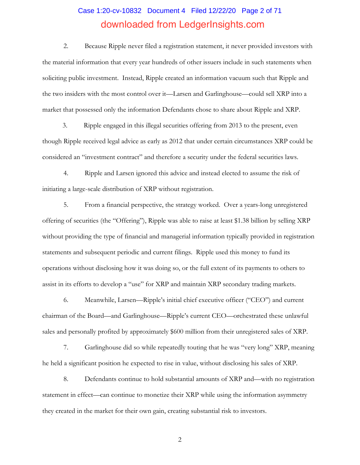# Case 1:20-cv-10832 Document 4 Filed 12/22/20 Page 2 of 71 downloaded from LedgerInsights.com

2. Because Ripple never filed a registration statement, it never provided investors with the material information that every year hundreds of other issuers include in such statements when soliciting public investment. Instead, Ripple created an information vacuum such that Ripple and the two insiders with the most control over it—Larsen and Garlinghouse—could sell XRP into a market that possessed only the information Defendants chose to share about Ripple and XRP.

3. Ripple engaged in this illegal securities offering from 2013 to the present, even though Ripple received legal advice as early as 2012 that under certain circumstances XRP could be considered an "investment contract" and therefore a security under the federal securities laws.

4. Ripple and Larsen ignored this advice and instead elected to assume the risk of initiating a large-scale distribution of XRP without registration.

5. From a financial perspective, the strategy worked. Over a years-long unregistered offering of securities (the "Offering"), Ripple was able to raise at least \$1.38 billion by selling XRP without providing the type of financial and managerial information typically provided in registration statements and subsequent periodic and current filings. Ripple used this money to fund its operations without disclosing how it was doing so, or the full extent of its payments to others to assist in its efforts to develop a "use" for XRP and maintain XRP secondary trading markets.

6. Meanwhile, Larsen—Ripple's initial chief executive officer ("CEO") and current chairman of the Board—and Garlinghouse—Ripple's current CEO—orchestrated these unlawful sales and personally profited by approximately \$600 million from their unregistered sales of XRP.

7. Garlinghouse did so while repeatedly touting that he was "very long" XRP, meaning he held a significant position he expected to rise in value, without disclosing his sales of XRP.

8. Defendants continue to hold substantial amounts of XRP and—with no registration statement in effect—can continue to monetize their XRP while using the information asymmetry they created in the market for their own gain, creating substantial risk to investors.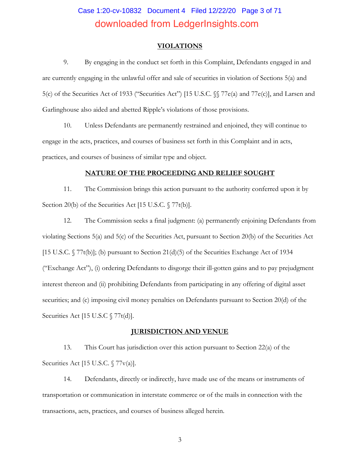# Case 1:20-cv-10832 Document 4 Filed 12/22/20 Page 3 of 71 downloaded from LedgerInsights.com

#### **VIOLATIONS**

9. By engaging in the conduct set forth in this Complaint, Defendants engaged in and are currently engaging in the unlawful offer and sale of securities in violation of Sections 5(a) and 5(c) of the Securities Act of 1933 ("Securities Act") [15 U.S.C. §§ 77e(a) and 77e(c)], and Larsen and Garlinghouse also aided and abetted Ripple's violations of those provisions.

10. Unless Defendants are permanently restrained and enjoined, they will continue to engage in the acts, practices, and courses of business set forth in this Complaint and in acts, practices, and courses of business of similar type and object.

#### **NATURE OF THE PROCEEDING AND RELIEF SOUGHT**

11. The Commission brings this action pursuant to the authority conferred upon it by Section 20(b) of the Securities Act [15 U.S.C. § 77t(b)].

12. The Commission seeks a final judgment: (a) permanently enjoining Defendants from violating Sections 5(a) and 5(c) of the Securities Act, pursuant to Section 20(b) of the Securities Act [15 U.S.C.  $\sqrt{77t(b)}$ ]; (b) pursuant to Section 21(d)(5) of the Securities Exchange Act of 1934 ("Exchange Act"), (i) ordering Defendants to disgorge their ill-gotten gains and to pay prejudgment interest thereon and (ii) prohibiting Defendants from participating in any offering of digital asset securities; and (c) imposing civil money penalties on Defendants pursuant to Section 20(d) of the Securities Act [15 U.S.C § 77t(d)].

#### **JURISDICTION AND VENUE**

13. This Court has jurisdiction over this action pursuant to Section 22(a) of the Securities Act [15 U.S.C. § 77v(a)].

14. Defendants, directly or indirectly, have made use of the means or instruments of transportation or communication in interstate commerce or of the mails in connection with the transactions, acts, practices, and courses of business alleged herein.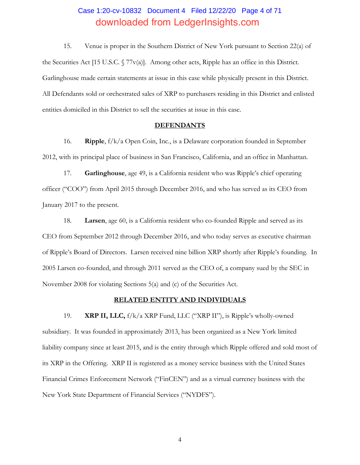# Case 1:20-cv-10832 Document 4 Filed 12/22/20 Page 4 of 71 downloaded from LedgerInsights.com

15. Venue is proper in the Southern District of New York pursuant to Section 22(a) of the Securities Act [15 U.S.C.  $\sqrt{77v(a)}$ ]. Among other acts, Ripple has an office in this District. Garlinghouse made certain statements at issue in this case while physically present in this District. All Defendants sold or orchestrated sales of XRP to purchasers residing in this District and enlisted entities domiciled in this District to sell the securities at issue in this case.

#### **DEFENDANTS**

16. **Ripple**, f/k/a Open Coin, Inc., is a Delaware corporation founded in September 2012, with its principal place of business in San Francisco, California, and an office in Manhattan.

17. **Garlinghouse**, age 49, is a California resident who was Ripple's chief operating officer ("COO") from April 2015 through December 2016, and who has served as its CEO from January 2017 to the present.

18. **Larsen**, age 60, is a California resident who co-founded Ripple and served as its CEO from September 2012 through December 2016, and who today serves as executive chairman of Ripple's Board of Directors. Larsen received nine billion XRP shortly after Ripple's founding. In 2005 Larsen co-founded, and through 2011 served as the CEO of, a company sued by the SEC in November 2008 for violating Sections 5(a) and (c) of the Securities Act.

#### **RELATED ENTITY AND INDIVIDUALS**

19. **XRP II, LLC,** f/k/a XRP Fund, LLC ("XRP II"), is Ripple's wholly-owned subsidiary. It was founded in approximately 2013, has been organized as a New York limited liability company since at least 2015, and is the entity through which Ripple offered and sold most of its XRP in the Offering. XRP II is registered as a money service business with the United States Financial Crimes Enforcement Network ("FinCEN") and as a virtual currency business with the New York State Department of Financial Services ("NYDFS").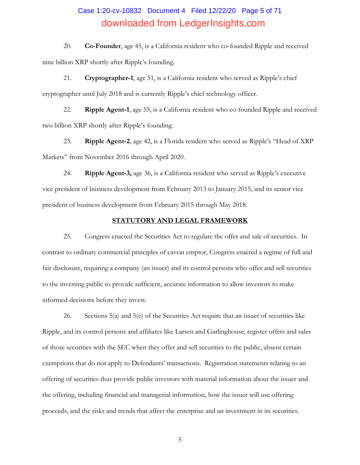# Case 1:20-cv-10832 Document 4 Filed 12/22/20 Page 5 of 71 downloaded from LedgerInsights.com

20. **Co-Founder**, age 45, is a California resident who co-founded Ripple and received nine billion XRP shortly after Ripple's founding.

21. **Cryptographer-1**, age 51, is a California resident who served as Ripple's chief cryptographer until July 2018 and is currently Ripple's chief technology officer.

22. **Ripple Agent-1**, age 55, is a California resident who co-founded Ripple and received two billion XRP shortly after Ripple's founding.

23. **Ripple Agent-2**, age 42, is a Florida resident who served as Ripple's "Head of XRP Markets" from November 2016 through April 2020.

24. **Ripple Agent-3,** age 36, is a California resident who served as Ripple's executive vice president of business development from February 2013 to January 2015, and its senior vice president of business development from February 2015 through May 2018.

#### **STATUTORY AND LEGAL FRAMEWORK**

25. Congress enacted the Securities Act to regulate the offer and sale of securities. In contrast to ordinary commercial principles of caveat emptor, Congress enacted a regime of full and fair disclosure, requiring a company (an issuer) and its control persons who offer and sell securities to the investing public to provide sufficient, accurate information to allow investors to make informed decisions before they invest.

26. Sections 5(a) and 5(c) of the Securities Act require that an issuer of securities like Ripple, and its control persons and affiliates like Larsen and Garlinghouse, register offers and sales of those securities with the SEC when they offer and sell securities to the public, absent certain exemptions that do not apply to Defendants' transactions. Registration statements relating to an offering of securities thus provide public investors with material information about the issuer and the offering, including financial and managerial information, how the issuer will use offering proceeds, and the risks and trends that affect the enterprise and an investment in its securities.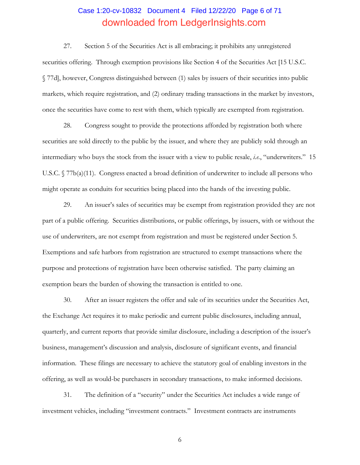# Case 1:20-cv-10832 Document 4 Filed 12/22/20 Page 6 of 71 downloaded from LedgerInsights.com

27. Section 5 of the Securities Act is all embracing; it prohibits any unregistered securities offering. Through exemption provisions like Section 4 of the Securities Act [15 U.S.C. § 77d], however, Congress distinguished between (1) sales by issuers of their securities into public markets, which require registration, and (2) ordinary trading transactions in the market by investors, once the securities have come to rest with them, which typically are exempted from registration.

28. Congress sought to provide the protections afforded by registration both where securities are sold directly to the public by the issuer, and where they are publicly sold through an intermediary who buys the stock from the issuer with a view to public resale, *i.e.*, "underwriters." 15 U.S.C. § 77b(a)(11). Congress enacted a broad definition of underwriter to include all persons who might operate as conduits for securities being placed into the hands of the investing public.

29. An issuer's sales of securities may be exempt from registration provided they are not part of a public offering. Securities distributions, or public offerings, by issuers, with or without the use of underwriters, are not exempt from registration and must be registered under Section 5. Exemptions and safe harbors from registration are structured to exempt transactions where the purpose and protections of registration have been otherwise satisfied. The party claiming an exemption bears the burden of showing the transaction is entitled to one.

30. After an issuer registers the offer and sale of its securities under the Securities Act, the Exchange Act requires it to make periodic and current public disclosures, including annual, quarterly, and current reports that provide similar disclosure, including a description of the issuer's business, management's discussion and analysis, disclosure of significant events, and financial information. These filings are necessary to achieve the statutory goal of enabling investors in the offering, as well as would-be purchasers in secondary transactions, to make informed decisions.

31. The definition of a "security" under the Securities Act includes a wide range of investment vehicles, including "investment contracts." Investment contracts are instruments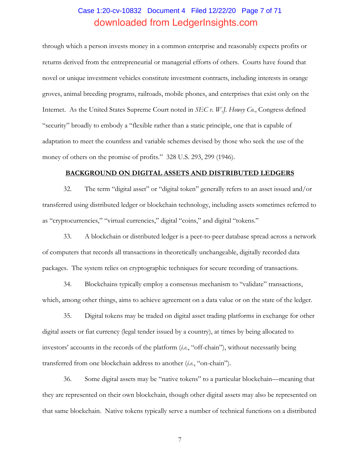# Case 1:20-cv-10832 Document 4 Filed 12/22/20 Page 7 of 71 downloaded from LedgerInsights.com

through which a person invests money in a common enterprise and reasonably expects profits or returns derived from the entrepreneurial or managerial efforts of others. Courts have found that novel or unique investment vehicles constitute investment contracts, including interests in orange groves, animal breeding programs, railroads, mobile phones, and enterprises that exist only on the Internet. As the United States Supreme Court noted in *SEC v. W.J. Howey Co.*, Congress defined "security" broadly to embody a "flexible rather than a static principle, one that is capable of adaptation to meet the countless and variable schemes devised by those who seek the use of the money of others on the promise of profits." 328 U.S. 293, 299 (1946).

#### **BACKGROUND ON DIGITAL ASSETS AND DISTRIBUTED LEDGERS**

32. The term "digital asset" or "digital token" generally refers to an asset issued and/or transferred using distributed ledger or blockchain technology, including assets sometimes referred to as "cryptocurrencies," "virtual currencies," digital "coins," and digital "tokens."

33. A blockchain or distributed ledger is a peer-to-peer database spread across a network of computers that records all transactions in theoretically unchangeable, digitally recorded data packages. The system relies on cryptographic techniques for secure recording of transactions.

34. Blockchains typically employ a consensus mechanism to "validate" transactions, which, among other things, aims to achieve agreement on a data value or on the state of the ledger.

35. Digital tokens may be traded on digital asset trading platforms in exchange for other digital assets or fiat currency (legal tender issued by a country), at times by being allocated to investors' accounts in the records of the platform (*i.e.*, "off-chain"), without necessarily being transferred from one blockchain address to another (*i.e.*, "on-chain").

36. Some digital assets may be "native tokens" to a particular blockchain—meaning that they are represented on their own blockchain, though other digital assets may also be represented on that same blockchain. Native tokens typically serve a number of technical functions on a distributed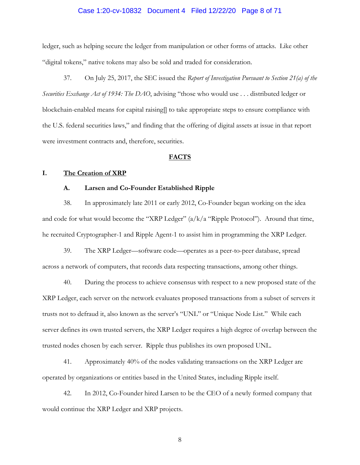# Case 1:20-cv-10832 Document 4 Filed 12/22/20 Page 8 of 71

ledger, such as helping secure the ledger from manipulation or other forms of attacks. Like other "digital tokens," native tokens may also be sold and traded for consideration.

37. On July 25, 2017, the SEC issued the *Report of Investigation Pursuant to Section 21(a) of the Securities Exchange Act of 1934: The DAO*, advising "those who would use . . . distributed ledger or blockchain-enabled means for capital raising[] to take appropriate steps to ensure compliance with the U.S. federal securities laws," and finding that the offering of digital assets at issue in that report were investment contracts and, therefore, securities.

#### **FACTS**

#### **I. The Creation of XRP**

#### **A. Larsen and Co-Founder Established Ripple**

38. In approximately late 2011 or early 2012, Co-Founder began working on the idea and code for what would become the "XRP Ledger"  $\left(\frac{a}{k}\right)$  a "Ripple Protocol"). Around that time, he recruited Cryptographer-1 and Ripple Agent-1 to assist him in programming the XRP Ledger.

39. The XRP Ledger—software code—operates as a peer-to-peer database, spread across a network of computers, that records data respecting transactions, among other things.

40. During the process to achieve consensus with respect to a new proposed state of the XRP Ledger, each server on the network evaluates proposed transactions from a subset of servers it trusts not to defraud it, also known as the server's "UNL" or "Unique Node List." While each server defines its own trusted servers, the XRP Ledger requires a high degree of overlap between the trusted nodes chosen by each server. Ripple thus publishes its own proposed UNL.

41. Approximately 40% of the nodes validating transactions on the XRP Ledger are operated by organizations or entities based in the United States, including Ripple itself.

42. In 2012, Co-Founder hired Larsen to be the CEO of a newly formed company that would continue the XRP Ledger and XRP projects.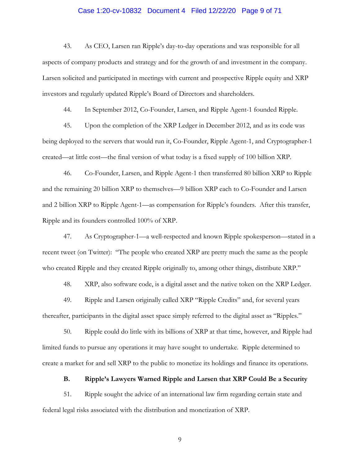### Case 1:20-cv-10832 Document 4 Filed 12/22/20 Page 9 of 71

43. As CEO, Larsen ran Ripple's day-to-day operations and was responsible for all aspects of company products and strategy and for the growth of and investment in the company. Larsen solicited and participated in meetings with current and prospective Ripple equity and XRP investors and regularly updated Ripple's Board of Directors and shareholders.

44. In September 2012, Co-Founder, Larsen, and Ripple Agent-1 founded Ripple.

45. Upon the completion of the XRP Ledger in December 2012, and as its code was being deployed to the servers that would run it, Co-Founder, Ripple Agent-1, and Cryptographer-1 created—at little cost—the final version of what today is a fixed supply of 100 billion XRP.

46. Co-Founder, Larsen, and Ripple Agent-1 then transferred 80 billion XRP to Ripple and the remaining 20 billion XRP to themselves—9 billion XRP each to Co-Founder and Larsen and 2 billion XRP to Ripple Agent-1—as compensation for Ripple's founders. After this transfer, Ripple and its founders controlled 100% of XRP.

47. As Cryptographer-1—a well-respected and known Ripple spokesperson—stated in a recent tweet (on Twitter): "The people who created XRP are pretty much the same as the people who created Ripple and they created Ripple originally to, among other things, distribute XRP."

48. XRP, also software code, is a digital asset and the native token on the XRP Ledger.

49. Ripple and Larsen originally called XRP "Ripple Credits" and, for several years thereafter, participants in the digital asset space simply referred to the digital asset as "Ripples."

50. Ripple could do little with its billions of XRP at that time, however, and Ripple had limited funds to pursue any operations it may have sought to undertake. Ripple determined to create a market for and sell XRP to the public to monetize its holdings and finance its operations.

## **B. Ripple's Lawyers Warned Ripple and Larsen that XRP Could Be a Security**

51. Ripple sought the advice of an international law firm regarding certain state and federal legal risks associated with the distribution and monetization of XRP.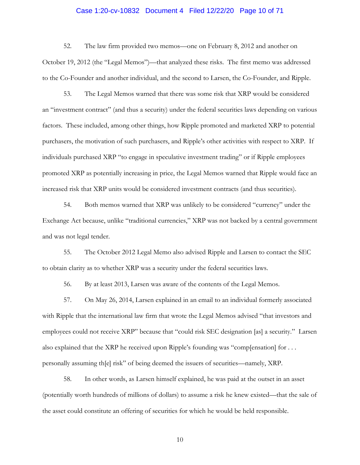# Case 1:20-cv-10832 Document 4 Filed 12/22/20 Page 10 of 71

52. The law firm provided two memos—one on February 8, 2012 and another on October 19, 2012 (the "Legal Memos")—that analyzed these risks. The first memo was addressed to the Co-Founder and another individual, and the second to Larsen, the Co-Founder, and Ripple.

53. The Legal Memos warned that there was some risk that XRP would be considered an "investment contract" (and thus a security) under the federal securities laws depending on various factors. These included, among other things, how Ripple promoted and marketed XRP to potential purchasers, the motivation of such purchasers, and Ripple's other activities with respect to XRP. If individuals purchased XRP "to engage in speculative investment trading" or if Ripple employees promoted XRP as potentially increasing in price, the Legal Memos warned that Ripple would face an increased risk that XRP units would be considered investment contracts (and thus securities).

54. Both memos warned that XRP was unlikely to be considered "currency" under the Exchange Act because, unlike "traditional currencies," XRP was not backed by a central government and was not legal tender.

55. The October 2012 Legal Memo also advised Ripple and Larsen to contact the SEC to obtain clarity as to whether XRP was a security under the federal securities laws.

56. By at least 2013, Larsen was aware of the contents of the Legal Memos.

57. On May 26, 2014, Larsen explained in an email to an individual formerly associated with Ripple that the international law firm that wrote the Legal Memos advised "that investors and employees could not receive XRP" because that "could risk SEC designation [as] a security." Larsen also explained that the XRP he received upon Ripple's founding was "comp[ensation] for . . . personally assuming th[e] risk" of being deemed the issuers of securities—namely, XRP.

58. In other words, as Larsen himself explained, he was paid at the outset in an asset (potentially worth hundreds of millions of dollars) to assume a risk he knew existed—that the sale of the asset could constitute an offering of securities for which he would be held responsible.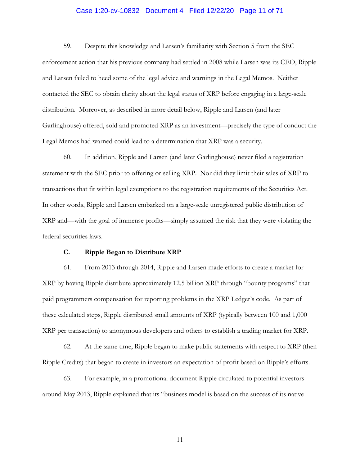# Case 1:20-cv-10832 Document 4 Filed 12/22/20 Page 11 of 71

59. Despite this knowledge and Larsen's familiarity with Section 5 from the SEC enforcement action that his previous company had settled in 2008 while Larsen was its CEO, Ripple and Larsen failed to heed some of the legal advice and warnings in the Legal Memos. Neither contacted the SEC to obtain clarity about the legal status of XRP before engaging in a large-scale distribution. Moreover, as described in more detail below, Ripple and Larsen (and later Garlinghouse) offered, sold and promoted XRP as an investment—precisely the type of conduct the Legal Memos had warned could lead to a determination that XRP was a security.

60. In addition, Ripple and Larsen (and later Garlinghouse) never filed a registration statement with the SEC prior to offering or selling XRP. Nor did they limit their sales of XRP to transactions that fit within legal exemptions to the registration requirements of the Securities Act. In other words, Ripple and Larsen embarked on a large-scale unregistered public distribution of XRP and—with the goal of immense profits—simply assumed the risk that they were violating the federal securities laws.

## **C. Ripple Began to Distribute XRP**

61. From 2013 through 2014, Ripple and Larsen made efforts to create a market for XRP by having Ripple distribute approximately 12.5 billion XRP through "bounty programs" that paid programmers compensation for reporting problems in the XRP Ledger's code. As part of these calculated steps, Ripple distributed small amounts of XRP (typically between 100 and 1,000 XRP per transaction) to anonymous developers and others to establish a trading market for XRP.

62. At the same time, Ripple began to make public statements with respect to XRP (then Ripple Credits) that began to create in investors an expectation of profit based on Ripple's efforts.

63. For example, in a promotional document Ripple circulated to potential investors around May 2013, Ripple explained that its "business model is based on the success of its native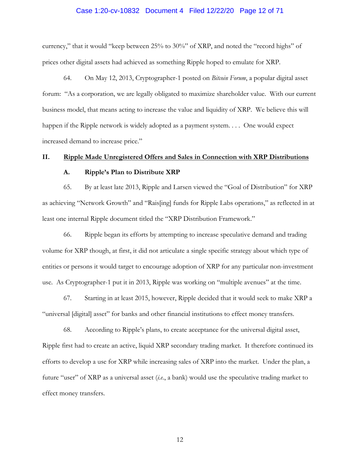#### Case 1:20-cv-10832 Document 4 Filed 12/22/20 Page 12 of 71

currency," that it would "keep between 25% to 30%" of XRP, and noted the "record highs" of prices other digital assets had achieved as something Ripple hoped to emulate for XRP.

64. On May 12, 2013, Cryptographer-1 posted on *Bitcoin Forum*, a popular digital asset forum: "As a corporation, we are legally obligated to maximize shareholder value. With our current business model, that means acting to increase the value and liquidity of XRP. We believe this will happen if the Ripple network is widely adopted as a payment system.... One would expect increased demand to increase price."

#### **II. Ripple Made Unregistered Offers and Sales in Connection with XRP Distributions**

#### **A. Ripple's Plan to Distribute XRP**

65. By at least late 2013, Ripple and Larsen viewed the "Goal of Distribution" for XRP as achieving "Network Growth" and "Rais[ing] funds for Ripple Labs operations," as reflected in at least one internal Ripple document titled the "XRP Distribution Framework."

66. Ripple began its efforts by attempting to increase speculative demand and trading volume for XRP though, at first, it did not articulate a single specific strategy about which type of entities or persons it would target to encourage adoption of XRP for any particular non-investment use. As Cryptographer-1 put it in 2013, Ripple was working on "multiple avenues" at the time.

67. Starting in at least 2015, however, Ripple decided that it would seek to make XRP a "universal [digital] asset" for banks and other financial institutions to effect money transfers.

68. According to Ripple's plans, to create acceptance for the universal digital asset, Ripple first had to create an active, liquid XRP secondary trading market. It therefore continued its efforts to develop a use for XRP while increasing sales of XRP into the market. Under the plan, a future "user" of XRP as a universal asset (*i.e.*, a bank) would use the speculative trading market to effect money transfers.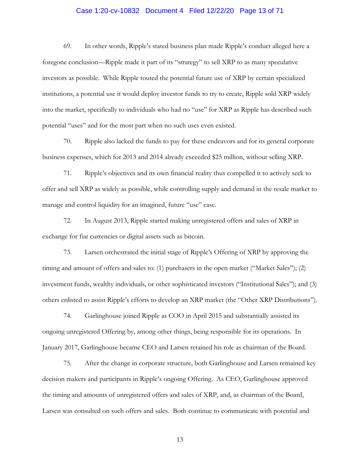# Case 1:20-cv-10832 Document 4 Filed 12/22/20 Page 13 of 71

69. In other words, Ripple's stated business plan made Ripple's conduct alleged here a foregone conclusion—Ripple made it part of its "strategy" to sell XRP to as many speculative investors as possible. While Ripple touted the potential future use of XRP by certain specialized institutions, a potential use it would deploy investor funds to try to create, Ripple sold XRP widely into the market, specifically to individuals who had no "use" for XRP as Ripple has described such potential "uses" and for the most part when no such uses even existed.

70. Ripple also lacked the funds to pay for these endeavors and for its general corporate business expenses, which for 2013 and 2014 already exceeded \$25 million, without selling XRP.

71. Ripple's objectives and its own financial reality thus compelled it to actively seek to offer and sell XRP as widely as possible, while controlling supply and demand in the resale market to manage and control liquidity for an imagined, future "use" case.

72. In August 2013, Ripple started making unregistered offers and sales of XRP in exchange for fiat currencies or digital assets such as bitcoin.

73. Larsen orchestrated the initial stage of Ripple's Offering of XRP by approving the timing and amount of offers and sales to: (1) purchasers in the open market ("Market Sales"); (2) investment funds, wealthy individuals, or other sophisticated investors ("Institutional Sales"); and (3) others enlisted to assist Ripple's efforts to develop an XRP market (the "Other XRP Distributions").

74. Garlinghouse joined Ripple as COO in April 2015 and substantially assisted its ongoing unregistered Offering by, among other things, being responsible for its operations. In January 2017, Garlinghouse became CEO and Larsen retained his role as chairman of the Board.

75. After the change in corporate structure, both Garlinghouse and Larsen remained key decision makers and participants in Ripple's ongoing Offering. As CEO, Garlinghouse approved the timing and amounts of unregistered offers and sales of XRP, and, as chairman of the Board, Larsen was consulted on such offers and sales. Both continue to communicate with potential and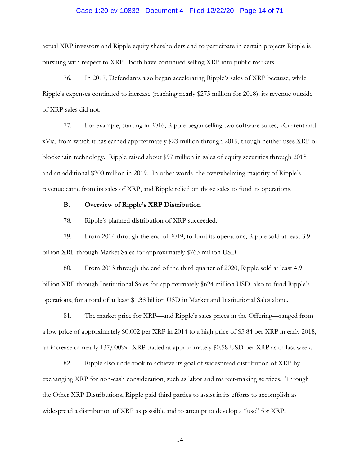# Case 1:20-cv-10832 Document 4 Filed 12/22/20 Page 14 of 71

actual XRP investors and Ripple equity shareholders and to participate in certain projects Ripple is pursuing with respect to XRP. Both have continued selling XRP into public markets.

76. In 2017, Defendants also began accelerating Ripple's sales of XRP because, while Ripple's expenses continued to increase (reaching nearly \$275 million for 2018), its revenue outside of XRP sales did not.

77. For example, starting in 2016, Ripple began selling two software suites, xCurrent and xVia, from which it has earned approximately \$23 million through 2019, though neither uses XRP or blockchain technology. Ripple raised about \$97 million in sales of equity securities through 2018 and an additional \$200 million in 2019. In other words, the overwhelming majority of Ripple's revenue came from its sales of XRP, and Ripple relied on those sales to fund its operations.

## **B. Overview of Ripple's XRP Distribution**

78. Ripple's planned distribution of XRP succeeded.

79. From 2014 through the end of 2019, to fund its operations, Ripple sold at least 3.9 billion XRP through Market Sales for approximately \$763 million USD.

80. From 2013 through the end of the third quarter of 2020, Ripple sold at least 4.9 billion XRP through Institutional Sales for approximately \$624 million USD, also to fund Ripple's operations, for a total of at least \$1.38 billion USD in Market and Institutional Sales alone.

81. The market price for XRP—and Ripple's sales prices in the Offering—ranged from a low price of approximately \$0.002 per XRP in 2014 to a high price of \$3.84 per XRP in early 2018, an increase of nearly 137,000%. XRP traded at approximately \$0.58 USD per XRP as of last week.

82. Ripple also undertook to achieve its goal of widespread distribution of XRP by exchanging XRP for non-cash consideration, such as labor and market-making services. Through the Other XRP Distributions, Ripple paid third parties to assist in its efforts to accomplish as widespread a distribution of XRP as possible and to attempt to develop a "use" for XRP.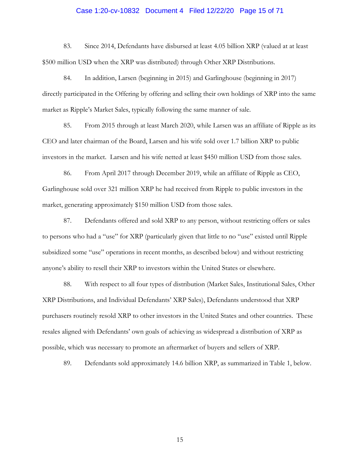#### Case 1:20-cv-10832 Document 4 Filed 12/22/20 Page 15 of 71

83. Since 2014, Defendants have disbursed at least 4.05 billion XRP (valued at at least \$500 million USD when the XRP was distributed) through Other XRP Distributions.

84. In addition, Larsen (beginning in 2015) and Garlinghouse (beginning in 2017) directly participated in the Offering by offering and selling their own holdings of XRP into the same market as Ripple's Market Sales, typically following the same manner of sale.

85. From 2015 through at least March 2020, while Larsen was an affiliate of Ripple as its CEO and later chairman of the Board, Larsen and his wife sold over 1.7 billion XRP to public investors in the market. Larsen and his wife netted at least \$450 million USD from those sales.

86. From April 2017 through December 2019, while an affiliate of Ripple as CEO, Garlinghouse sold over 321 million XRP he had received from Ripple to public investors in the market, generating approximately \$150 million USD from those sales.

87. Defendants offered and sold XRP to any person, without restricting offers or sales to persons who had a "use" for XRP (particularly given that little to no "use" existed until Ripple subsidized some "use" operations in recent months, as described below) and without restricting anyone's ability to resell their XRP to investors within the United States or elsewhere.

88. With respect to all four types of distribution (Market Sales, Institutional Sales, Other XRP Distributions, and Individual Defendants' XRP Sales), Defendants understood that XRP purchasers routinely resold XRP to other investors in the United States and other countries. These resales aligned with Defendants' own goals of achieving as widespread a distribution of XRP as possible, which was necessary to promote an aftermarket of buyers and sellers of XRP.

89. Defendants sold approximately 14.6 billion XRP, as summarized in Table 1, below.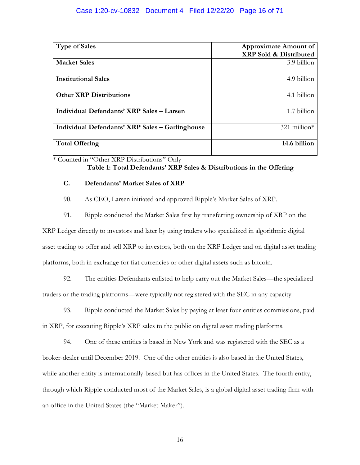## Case 1:20-cv-10832 Document 4 Filed 12/22/20 Page 16 of 71

| <b>Type of Sales</b>                            | <b>Approximate Amount of</b><br><b>XRP Sold &amp; Distributed</b> |
|-------------------------------------------------|-------------------------------------------------------------------|
| <b>Market Sales</b>                             | 3.9 billion                                                       |
| <b>Institutional Sales</b>                      | 4.9 billion                                                       |
| <b>Other XRP Distributions</b>                  | 4.1 billion                                                       |
| Individual Defendants' XRP Sales - Larsen       | 1.7 billion                                                       |
| Individual Defendants' XRP Sales – Garlinghouse | $321$ million <sup>*</sup>                                        |
| <b>Total Offering</b>                           | 14.6 billion                                                      |

\* Counted in "Other XRP Distributions" Only

# **Table 1: Total Defendants' XRP Sales & Distributions in the Offering**

#### **C. Defendants' Market Sales of XRP**

90. As CEO, Larsen initiated and approved Ripple's Market Sales of XRP.

91. Ripple conducted the Market Sales first by transferring ownership of XRP on the

XRP Ledger directly to investors and later by using traders who specialized in algorithmic digital asset trading to offer and sell XRP to investors, both on the XRP Ledger and on digital asset trading platforms, both in exchange for fiat currencies or other digital assets such as bitcoin.

92. The entities Defendants enlisted to help carry out the Market Sales—the specialized traders or the trading platforms—were typically not registered with the SEC in any capacity.

93. Ripple conducted the Market Sales by paying at least four entities commissions, paid in XRP, for executing Ripple's XRP sales to the public on digital asset trading platforms.

94. One of these entities is based in New York and was registered with the SEC as a broker-dealer until December 2019. One of the other entities is also based in the United States, while another entity is internationally-based but has offices in the United States. The fourth entity, through which Ripple conducted most of the Market Sales, is a global digital asset trading firm with an office in the United States (the "Market Maker").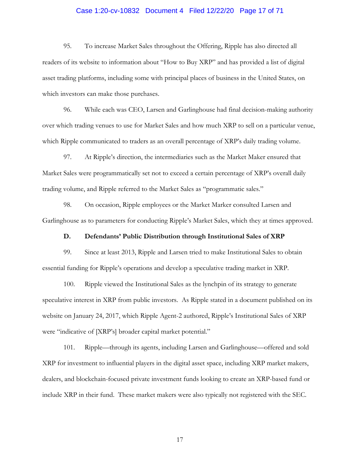# Case 1:20-cv-10832 Document 4 Filed 12/22/20 Page 17 of 71

95. To increase Market Sales throughout the Offering, Ripple has also directed all readers of its website to information about "How to Buy XRP" and has provided a list of digital asset trading platforms, including some with principal places of business in the United States, on which investors can make those purchases.

96. While each was CEO, Larsen and Garlinghouse had final decision-making authority over which trading venues to use for Market Sales and how much XRP to sell on a particular venue, which Ripple communicated to traders as an overall percentage of XRP's daily trading volume.

97. At Ripple's direction, the intermediaries such as the Market Maker ensured that Market Sales were programmatically set not to exceed a certain percentage of XRP's overall daily trading volume, and Ripple referred to the Market Sales as "programmatic sales."

98. On occasion, Ripple employees or the Market Marker consulted Larsen and Garlinghouse as to parameters for conducting Ripple's Market Sales, which they at times approved.

#### **D. Defendants' Public Distribution through Institutional Sales of XRP**

99. Since at least 2013, Ripple and Larsen tried to make Institutional Sales to obtain essential funding for Ripple's operations and develop a speculative trading market in XRP.

100. Ripple viewed the Institutional Sales as the lynchpin of its strategy to generate speculative interest in XRP from public investors. As Ripple stated in a document published on its website on January 24, 2017, which Ripple Agent-2 authored, Ripple's Institutional Sales of XRP were "indicative of [XRP's] broader capital market potential."

101. Ripple—through its agents, including Larsen and Garlinghouse—offered and sold XRP for investment to influential players in the digital asset space, including XRP market makers, dealers, and blockchain-focused private investment funds looking to create an XRP-based fund or include XRP in their fund. These market makers were also typically not registered with the SEC.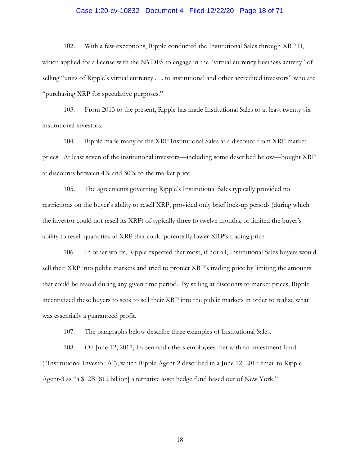# Case 1:20-cv-10832 Document 4 Filed 12/22/20 Page 18 of 71

102. With a few exceptions, Ripple conducted the Institutional Sales through XRP II, which applied for a license with the NYDFS to engage in the "virtual currency business activity" of selling "units of Ripple's virtual currency . . . to institutional and other accredited investors" who are "purchasing XRP for speculative purposes."

103. From 2013 to the present, Ripple has made Institutional Sales to at least twenty-six institutional investors.

104. Ripple made many of the XRP Institutional Sales at a discount from XRP market prices. At least seven of the institutional investors—including some described below—bought XRP at discounts between 4% and 30% to the market price

105. The agreements governing Ripple's Institutional Sales typically provided no restrictions on the buyer's ability to resell XRP, provided only brief lock-up periods (during which the investor could not resell its XRP) of typically three to twelve months, or limited the buyer's ability to resell quantities of XRP that could potentially lower XRP's trading price.

106. In other words, Ripple expected that most, if not all, Institutional Sales buyers would sell their XRP into public markets and tried to protect XRP's trading price by limiting the amounts that could be resold during any given time period. By selling at discounts to market prices, Ripple incentivized these buyers to seek to sell their XRP into the public markets in order to realize what was essentially a guaranteed profit.

107. The paragraphs below describe three examples of Institutional Sales.

108. On June 12, 2017, Larsen and others employees met with an investment fund ("Institutional Investor A"), which Ripple Agent-2 described in a June 12, 2017 email to Ripple Agent-3 as "a \$12B [\$12 billion] alternative asset hedge fund based out of New York."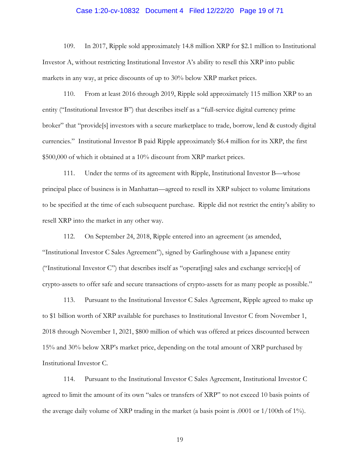# Case 1:20-cv-10832 Document 4 Filed 12/22/20 Page 19 of 71

109. In 2017, Ripple sold approximately 14.8 million XRP for \$2.1 million to Institutional Investor A, without restricting Institutional Investor A's ability to resell this XRP into public markets in any way, at price discounts of up to 30% below XRP market prices.

110. From at least 2016 through 2019, Ripple sold approximately 115 million XRP to an entity ("Institutional Investor B") that describes itself as a "full-service digital currency prime broker" that "provide[s] investors with a secure marketplace to trade, borrow, lend & custody digital currencies." Institutional Investor B paid Ripple approximately \$6.4 million for its XRP, the first \$500,000 of which it obtained at a 10% discount from XRP market prices.

111. Under the terms of its agreement with Ripple, Institutional Investor B—whose principal place of business is in Manhattan—agreed to resell its XRP subject to volume limitations to be specified at the time of each subsequent purchase. Ripple did not restrict the entity's ability to resell XRP into the market in any other way.

112. On September 24, 2018, Ripple entered into an agreement (as amended, "Institutional Investor C Sales Agreement"), signed by Garlinghouse with a Japanese entity ("Institutional Investor C") that describes itself as "operat[ing] sales and exchange service[s] of crypto-assets to offer safe and secure transactions of crypto-assets for as many people as possible."

113. Pursuant to the Institutional Investor C Sales Agreement, Ripple agreed to make up to \$1 billion worth of XRP available for purchases to Institutional Investor C from November 1, 2018 through November 1, 2021, \$800 million of which was offered at prices discounted between 15% and 30% below XRP's market price, depending on the total amount of XRP purchased by Institutional Investor C.

114. Pursuant to the Institutional Investor C Sales Agreement, Institutional Investor C agreed to limit the amount of its own "sales or transfers of XRP" to not exceed 10 basis points of the average daily volume of XRP trading in the market (a basis point is .0001 or 1/100th of 1%).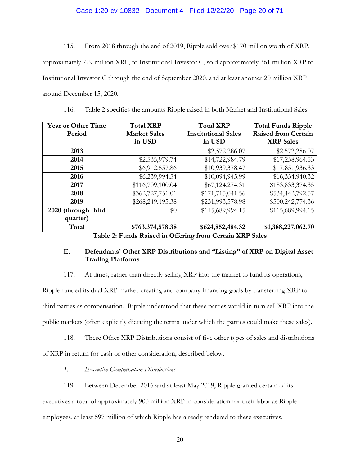## Case 1:20-cv-10832 Document 4 Filed 12/22/20 Page 20 of 71

115. From 2018 through the end of 2019, Ripple sold over \$170 million worth of XRP, approximately 719 million XRP, to Institutional Investor C, sold approximately 361 million XRP to Institutional Investor C through the end of September 2020, and at least another 20 million XRP around December 15, 2020.

| <b>Year or Other Time</b>          | <b>Total XRP</b>                                              | <b>Total XRP</b>           | <b>Total Funds Ripple</b>  |
|------------------------------------|---------------------------------------------------------------|----------------------------|----------------------------|
| Period                             | <b>Market Sales</b>                                           | <b>Institutional Sales</b> | <b>Raised from Certain</b> |
|                                    | in USD                                                        | in USD                     | <b>XRP</b> Sales           |
| 2013                               |                                                               | \$2,572,286.07             | \$2,572,286.07             |
| 2014                               | \$2,535,979.74                                                | \$14,722,984.79            | \$17,258,964.53            |
| 2015                               | \$6,912,557.86                                                | \$10,939,378.47            | \$17,851,936.33            |
| 2016                               | \$6,239,994.34                                                | \$10,094,945.99            | \$16,334,940.32            |
| 2017                               | \$116,709,100.04                                              | \$67,124,274.31            | \$183,833,374.35           |
| 2018                               | \$362,727,751.01                                              | \$171,715,041.56           | \$534,442,792.57           |
| 2019                               | \$268,249,195.38                                              | \$231,993,578.98           | \$500,242,774.36           |
| 2020 (through third                | \$0                                                           | \$115,689,994.15           | \$115,689,994.15           |
| quarter)                           |                                                               |                            |                            |
| Total<br><del>.</del> <del>.</del> | \$763,374,578.38<br>$\sim$ $\sim$ $\sim$ $\sim$ $\sim$ $\sim$ | \$624,852,484.32           | \$1,388,227,062.70         |

116. Table 2 specifies the amounts Ripple raised in both Market and Institutional Sales:

**Table 2: Funds Raised in Offering from Certain XRP Sales**

## **E. Defendants' Other XRP Distributions and "Listing" of XRP on Digital Asset Trading Platforms**

117. At times, rather than directly selling XRP into the market to fund its operations,

Ripple funded its dual XRP market-creating and company financing goals by transferring XRP to third parties as compensation. Ripple understood that these parties would in turn sell XRP into the public markets (often explicitly dictating the terms under which the parties could make these sales).

118. These Other XRP Distributions consist of five other types of sales and distributions of XRP in return for cash or other consideration, described below.

*1. Executive Compensation Distributions*

119. Between December 2016 and at least May 2019, Ripple granted certain of its executives a total of approximately 900 million XRP in consideration for their labor as Ripple employees, at least 597 million of which Ripple has already tendered to these executives.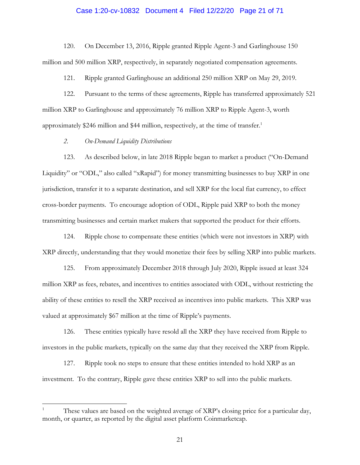# Case 1:20-cv-10832 Document 4 Filed 12/22/20 Page 21 of 71

120. On December 13, 2016, Ripple granted Ripple Agent-3 and Garlinghouse 150 million and 500 million XRP, respectively, in separately negotiated compensation agreements.

121. Ripple granted Garlinghouse an additional 250 million XRP on May 29, 2019.

122. Pursuant to the terms of these agreements, Ripple has transferred approximately 521 million XRP to Garlinghouse and approximately 76 million XRP to Ripple Agent-3, worth approximately \$246 million and \$44 million, respectively, at the time of transfer.<sup>1</sup>

#### *2. On-Demand Liquidity Distributions*

 $\overline{a}$ 

123. As described below, in late 2018 Ripple began to market a product ("On-Demand Liquidity" or "ODL," also called "xRapid") for money transmitting businesses to buy XRP in one jurisdiction, transfer it to a separate destination, and sell XRP for the local fiat currency, to effect cross-border payments. To encourage adoption of ODL, Ripple paid XRP to both the money transmitting businesses and certain market makers that supported the product for their efforts.

124. Ripple chose to compensate these entities (which were not investors in XRP) with XRP directly, understanding that they would monetize their fees by selling XRP into public markets.

125. From approximately December 2018 through July 2020, Ripple issued at least 324 million XRP as fees, rebates, and incentives to entities associated with ODL, without restricting the ability of these entities to resell the XRP received as incentives into public markets. This XRP was valued at approximately \$67 million at the time of Ripple's payments.

126. These entities typically have resold all the XRP they have received from Ripple to investors in the public markets, typically on the same day that they received the XRP from Ripple.

127. Ripple took no steps to ensure that these entities intended to hold XRP as an investment. To the contrary, Ripple gave these entities XRP to sell into the public markets.

<sup>1</sup> These values are based on the weighted average of XRP's closing price for a particular day, month, or quarter, as reported by the digital asset platform Coinmarketcap.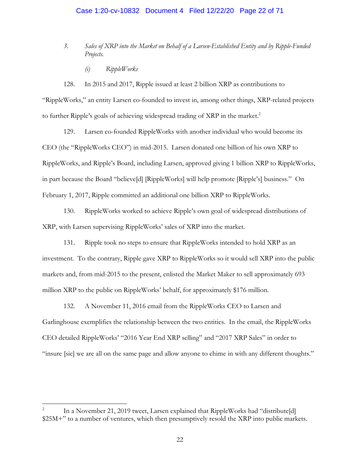# Case 1:20-cv-10832 Document 4 Filed 12/22/20 Page 22 of 71

- *3. Sales of XRP into the Market on Behalf of a Larsen-Established Entity and by Ripple-Funded Projects.*
	- *(i) RippleWorks*

128. In 2015 and 2017, Ripple issued at least 2 billion XRP as contributions to "RippleWorks," an entity Larsen co-founded to invest in, among other things, XRP-related projects to further Ripple's goals of achieving widespread trading of XRP in the market.<sup>2</sup>

129. Larsen co-founded RippleWorks with another individual who would become its CEO (the "RippleWorks CEO") in mid-2015. Larsen donated one billion of his own XRP to RippleWorks, and Ripple's Board, including Larsen, approved giving 1 billion XRP to RippleWorks, in part because the Board "believe[d] [RippleWorks] will help promote [Ripple's] business." On February 1, 2017, Ripple committed an additional one billion XRP to RippleWorks.

130. RippleWorks worked to achieve Ripple's own goal of widespread distributions of XRP, with Larsen supervising RippleWorks' sales of XRP into the market.

131. Ripple took no steps to ensure that RippleWorks intended to hold XRP as an investment. To the contrary, Ripple gave XRP to RippleWorks so it would sell XRP into the public markets and, from mid-2015 to the present, enlisted the Market Maker to sell approximately 693 million XRP to the public on RippleWorks' behalf, for approximately \$176 million.

132. A November 11, 2016 email from the RippleWorks CEO to Larsen and Garlinghouse exemplifies the relationship between the two entities. In the email, the RippleWorks CEO detailed RippleWorks' "2016 Year End XRP selling" and "2017 XRP Sales" in order to "insure [sic] we are all on the same page and allow anyone to chime in with any different thoughts."

 $\overline{a}$ 

<sup>2</sup> In a November 21, 2019 tweet, Larsen explained that RippleWorks had "distribute[d] \$25M+" to a number of ventures, which then presumptively resold the XRP into public markets.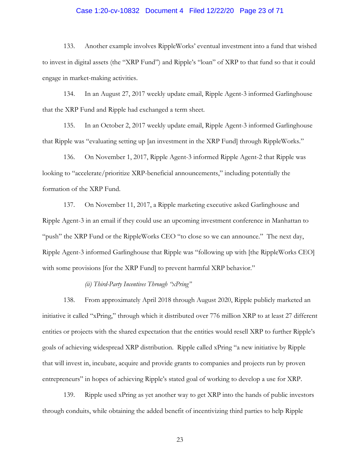# Case 1:20-cv-10832 Document 4 Filed 12/22/20 Page 23 of 71

133. Another example involves RippleWorks' eventual investment into a fund that wished to invest in digital assets (the "XRP Fund") and Ripple's "loan" of XRP to that fund so that it could engage in market-making activities.

134. In an August 27, 2017 weekly update email, Ripple Agent-3 informed Garlinghouse that the XRP Fund and Ripple had exchanged a term sheet.

135. In an October 2, 2017 weekly update email, Ripple Agent-3 informed Garlinghouse that Ripple was "evaluating setting up [an investment in the XRP Fund] through RippleWorks."

136. On November 1, 2017, Ripple Agent-3 informed Ripple Agent-2 that Ripple was looking to "accelerate/prioritize XRP-beneficial announcements," including potentially the formation of the XRP Fund.

137. On November 11, 2017, a Ripple marketing executive asked Garlinghouse and Ripple Agent-3 in an email if they could use an upcoming investment conference in Manhattan to "push" the XRP Fund or the RippleWorks CEO "to close so we can announce." The next day, Ripple Agent-3 informed Garlinghouse that Ripple was "following up with [the RippleWorks CEO] with some provisions [for the XRP Fund] to prevent harmful XRP behavior."

*(ii) Third-Party Incentives Through "xPring"*

138. From approximately April 2018 through August 2020, Ripple publicly marketed an initiative it called "xPring," through which it distributed over 776 million XRP to at least 27 different entities or projects with the shared expectation that the entities would resell XRP to further Ripple's goals of achieving widespread XRP distribution. Ripple called xPring "a new initiative by Ripple that will invest in, incubate, acquire and provide grants to companies and projects run by proven entrepreneurs" in hopes of achieving Ripple's stated goal of working to develop a use for XRP.

139. Ripple used xPring as yet another way to get XRP into the hands of public investors through conduits, while obtaining the added benefit of incentivizing third parties to help Ripple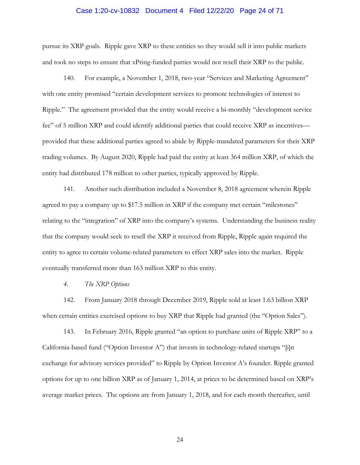# Case 1:20-cv-10832 Document 4 Filed 12/22/20 Page 24 of 71

pursue its XRP goals. Ripple gave XRP to these entities so they would sell it into public markets and took no steps to ensure that xPring-funded parties would not resell their XRP to the public.

140. For example, a November 1, 2018, two-year "Services and Marketing Agreement" with one entity promised "certain development services to promote technologies of interest to Ripple." The agreement provided that the entity would receive a bi-monthly "development service fee" of 5 million XRP and could identify additional parties that could receive XRP as incentives provided that these additional parties agreed to abide by Ripple-mandated parameters for their XRP trading volumes. By August 2020, Ripple had paid the entity at least 364 million XRP, of which the entity had distributed 178 million to other parties, typically approved by Ripple.

141. Another such distribution included a November 8, 2018 agreement wherein Ripple agreed to pay a company up to \$17.5 million in XRP if the company met certain "milestones" relating to the "integration" of XRP into the company's systems. Understanding the business reality that the company would seek to resell the XRP it received from Ripple, Ripple again required the entity to agree to certain volume-related parameters to effect XRP sales into the market. Ripple eventually transferred more than 163 million XRP to this entity.

*4. The XRP Options*

142. From January 2018 through December 2019, Ripple sold at least 1.63 billion XRP when certain entities exercised options to buy XRP that Ripple had granted (the "Option Sales").

143. In February 2016, Ripple granted "an option to purchase units of Ripple XRP" to a California-based fund ("Option Investor A") that invests in technology-related startups "[i]n exchange for advisory services provided" to Ripple by Option Investor A's founder. Ripple granted options for up to one billion XRP as of January 1, 2014, at prices to be determined based on XRP's average market prices. The options are from January 1, 2018, and for each month thereafter, until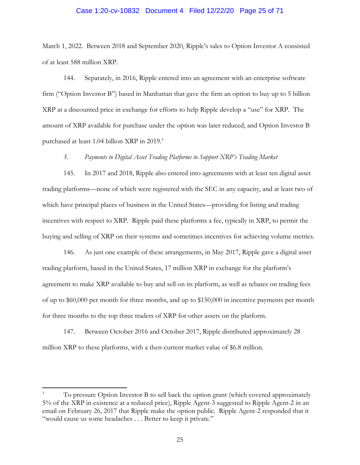#### Case 1:20-cv-10832 Document 4 Filed 12/22/20 Page 25 of 71

March 1, 2022. Between 2018 and September 2020, Ripple's sales to Option Investor A consisted of at least 588 million XRP.

144. Separately, in 2016, Ripple entered into an agreement with an enterprise software firm ("Option Investor B") based in Manhattan that gave the firm an option to buy up to 5 billion XRP at a discounted price in exchange for efforts to help Ripple develop a "use" for XRP. The amount of XRP available for purchase under the option was later reduced, and Option Investor B purchased at least 1.04 billion XRP in 2019. 3

#### *5. Payments to Digital Asset Trading Platforms to Support XRP's Trading Market*

145. In 2017 and 2018, Ripple also entered into agreements with at least ten digital asset trading platforms—none of which were registered with the SEC in any capacity, and at least two of which have principal places of business in the United States—providing for listing and trading incentives with respect to XRP. Ripple paid these platforms a fee, typically in XRP, to permit the buying and selling of XRP on their systems and sometimes incentives for achieving volume metrics.

146. As just one example of these arrangements, in May 2017, Ripple gave a digital asset trading platform, based in the United States, 17 million XRP in exchange for the platform's agreement to make XRP available to buy and sell on its platform, as well as rebates on trading fees of up to \$60,000 per month for three months, and up to \$150,000 in incentive payments per month for three months to the top three traders of XRP for other assets on the platform.

147. Between October 2016 and October 2017, Ripple distributed approximately 28 million XRP to these platforms, with a then-current market value of \$6.8 million.

 $\overline{a}$ 

<sup>3</sup> To pressure Option Investor B to sell back the option grant (which covered approximately 5% of the XRP in existence at a reduced price), Ripple Agent-3 suggested to Ripple Agent-2 in an email on February 26, 2017 that Ripple make the option public. Ripple Agent-2 responded that it "would cause us some headaches . . . Better to keep it private."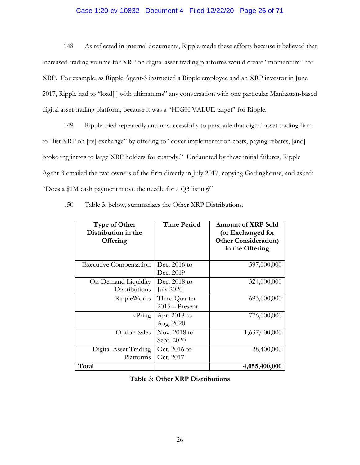## Case 1:20-cv-10832 Document 4 Filed 12/22/20 Page 26 of 71

148. As reflected in internal documents, Ripple made these efforts because it believed that increased trading volume for XRP on digital asset trading platforms would create "momentum" for XRP. For example, as Ripple Agent-3 instructed a Ripple employee and an XRP investor in June 2017, Ripple had to "load[ ] with ultimatums" any conversation with one particular Manhattan-based digital asset trading platform, because it was a "HIGH VALUE target" for Ripple.

149. Ripple tried repeatedly and unsuccessfully to persuade that digital asset trading firm to "list XRP on [its] exchange" by offering to "cover implementation costs, paying rebates, [and] brokering intros to large XRP holders for custody." Undaunted by these initial failures, Ripple Agent-3 emailed the two owners of the firm directly in July 2017, copying Garlinghouse, and asked: "Does a \$1M cash payment move the needle for a Q3 listing?"

| <b>Type of Other</b><br>Distribution in the<br>Offering | <b>Time Period</b>                | <b>Amount of XRP Sold</b><br>(or Exchanged for<br><b>Other Consideration)</b><br>in the Offering |
|---------------------------------------------------------|-----------------------------------|--------------------------------------------------------------------------------------------------|
| <b>Executive Compensation</b>                           | Dec. $2016$ to<br>Dec. 2019       | 597,000,000                                                                                      |
| On-Demand Liquidity<br>Distributions                    | Dec. 2018 to<br><b>July 2020</b>  | 324,000,000                                                                                      |
| <b>RippleWorks</b>                                      | Third Quarter<br>$2015 -$ Present | 693,000,000                                                                                      |
| $x$ Pring                                               | Apr. 2018 to<br>Aug. 2020         | 776,000,000                                                                                      |
| <b>Option Sales</b>                                     | Nov. 2018 to<br>Sept. 2020        | 1,637,000,000                                                                                    |
| Digital Asset Trading<br>Platforms                      | Oct. 2016 to<br>Oct. 2017         | 28,400,000                                                                                       |
| Total                                                   |                                   | 4,055,400,000                                                                                    |

150. Table 3, below, summarizes the Other XRP Distributions.

**Table 3: Other XRP Distributions**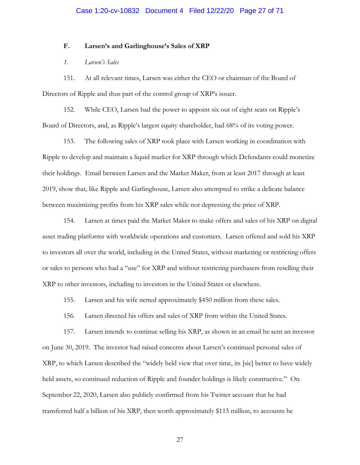#### **F. Larsen's and Garlinghouse's Sales of XRP**

## *1. Larsen's Sales*

151. At all relevant times, Larsen was either the CEO or chairman of the Board of Directors of Ripple and thus part of the control group of XRP's issuer.

152. While CEO, Larsen had the power to appoint six out of eight seats on Ripple's Board of Directors, and, as Ripple's largest equity shareholder, had 68% of its voting power.

153. The following sales of XRP took place with Larsen working in coordination with Ripple to develop and maintain a liquid market for XRP through which Defendants could monetize their holdings. Email between Larsen and the Market Maker, from at least 2017 through at least 2019, show that, like Ripple and Garlinghouse, Larsen also attempted to strike a delicate balance between maximizing profits from his XRP sales while not depressing the price of XRP.

154. Larsen at times paid the Market Maker to make offers and sales of his XRP on digital asset trading platforms with worldwide operations and customers. Larsen offered and sold his XRP to investors all over the world, including in the United States, without marketing or restricting offers or sales to persons who had a "use" for XRP and without restricting purchasers from reselling their XRP to other investors, including to investors in the United States or elsewhere.

155. Larsen and his wife netted approximately \$450 million from these sales.

156. Larsen directed his offers and sales of XRP from within the United States.

157. Larsen intends to continue selling his XRP, as shown in an email he sent an investor on June 30, 2019. The investor had raised concerns about Larsen's continued personal sales of XRP, to which Larsen described the "widely held view that over time, its [sic] better to have widely held assets, so continued reduction of Ripple and founder holdings is likely constructive." On September 22, 2020, Larsen also publicly confirmed from his Twitter account that he had transferred half a billion of his XRP, then worth approximately \$115 million, to accounts he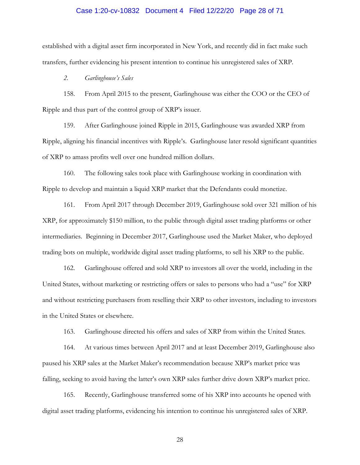#### Case 1:20-cv-10832 Document 4 Filed 12/22/20 Page 28 of 71

established with a digital asset firm incorporated in New York, and recently did in fact make such transfers, further evidencing his present intention to continue his unregistered sales of XRP.

*2. Garlinghouse's Sales*

158. From April 2015 to the present, Garlinghouse was either the COO or the CEO of Ripple and thus part of the control group of XRP's issuer.

159. After Garlinghouse joined Ripple in 2015, Garlinghouse was awarded XRP from Ripple, aligning his financial incentives with Ripple's. Garlinghouse later resold significant quantities of XRP to amass profits well over one hundred million dollars.

160. The following sales took place with Garlinghouse working in coordination with Ripple to develop and maintain a liquid XRP market that the Defendants could monetize.

161. From April 2017 through December 2019, Garlinghouse sold over 321 million of his XRP, for approximately \$150 million, to the public through digital asset trading platforms or other intermediaries. Beginning in December 2017, Garlinghouse used the Market Maker, who deployed trading bots on multiple, worldwide digital asset trading platforms, to sell his XRP to the public.

162. Garlinghouse offered and sold XRP to investors all over the world, including in the United States, without marketing or restricting offers or sales to persons who had a "use" for XRP and without restricting purchasers from reselling their XRP to other investors, including to investors in the United States or elsewhere.

163. Garlinghouse directed his offers and sales of XRP from within the United States.

164. At various times between April 2017 and at least December 2019, Garlinghouse also paused his XRP sales at the Market Maker's recommendation because XRP's market price was falling, seeking to avoid having the latter's own XRP sales further drive down XRP's market price.

165. Recently, Garlinghouse transferred some of his XRP into accounts he opened with digital asset trading platforms, evidencing his intention to continue his unregistered sales of XRP.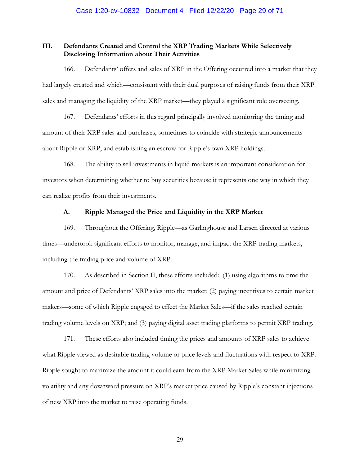## **III. Defendants Created and Control the XRP Trading Markets While Selectively Disclosing Information about Their Activities**

166. Defendants' offers and sales of XRP in the Offering occurred into a market that they had largely created and which—consistent with their dual purposes of raising funds from their XRP sales and managing the liquidity of the XRP market—they played a significant role overseeing.

167. Defendants' efforts in this regard principally involved monitoring the timing and amount of their XRP sales and purchases, sometimes to coincide with strategic announcements about Ripple or XRP, and establishing an escrow for Ripple's own XRP holdings.

168. The ability to sell investments in liquid markets is an important consideration for investors when determining whether to buy securities because it represents one way in which they can realize profits from their investments.

#### **A. Ripple Managed the Price and Liquidity in the XRP Market**

169. Throughout the Offering, Ripple—as Garlinghouse and Larsen directed at various times—undertook significant efforts to monitor, manage, and impact the XRP trading markets, including the trading price and volume of XRP.

170. As described in Section II, these efforts included: (1) using algorithms to time the amount and price of Defendants' XRP sales into the market; (2) paying incentives to certain market makers—some of which Ripple engaged to effect the Market Sales—if the sales reached certain trading volume levels on XRP; and (3) paying digital asset trading platforms to permit XRP trading.

171. These efforts also included timing the prices and amounts of XRP sales to achieve what Ripple viewed as desirable trading volume or price levels and fluctuations with respect to XRP. Ripple sought to maximize the amount it could earn from the XRP Market Sales while minimizing volatility and any downward pressure on XRP's market price caused by Ripple's constant injections of new XRP into the market to raise operating funds.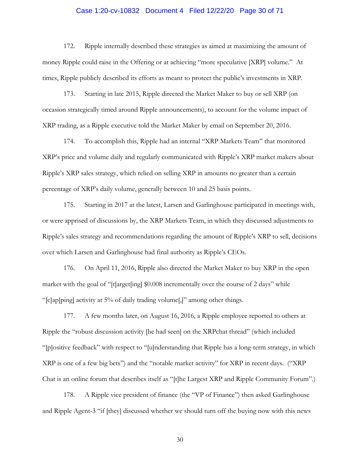### Case 1:20-cv-10832 Document 4 Filed 12/22/20 Page 30 of 71

172. Ripple internally described these strategies as aimed at maximizing the amount of money Ripple could raise in the Offering or at achieving "more speculative [XRP] volume." At times, Ripple publicly described its efforts as meant to protect the public's investments in XRP.

173. Starting in late 2015, Ripple directed the Market Maker to buy or sell XRP (on occasion strategically timed around Ripple announcements), to account for the volume impact of XRP trading, as a Ripple executive told the Market Maker by email on September 20, 2016.

174. To accomplish this, Ripple had an internal "XRP Markets Team" that monitored XRP's price and volume daily and regularly communicated with Ripple's XRP market makers about Ripple's XRP sales strategy, which relied on selling XRP in amounts no greater than a certain percentage of XRP's daily volume, generally between 10 and 25 basis points.

175. Starting in 2017 at the latest, Larsen and Garlinghouse participated in meetings with, or were apprised of discussions by, the XRP Markets Team, in which they discussed adjustments to Ripple's sales strategy and recommendations regarding the amount of Ripple's XRP to sell, decisions over which Larsen and Garlinghouse had final authority as Ripple's CEOs.

176. On April 11, 2016, Ripple also directed the Market Maker to buy XRP in the open market with the goal of "[t]arget[ing] \$0.008 incrementally over the course of 2 days" while "[c]ap[ping] activity at 5% of daily trading volume[,]" among other things.

177. A few months later, on August 16, 2016, a Ripple employee reported to others at Ripple the "robust discussion activity [he had seen] on the XRPchat thread" (which included "[p]ositive feedback" with respect to "[u]nderstanding that Ripple has a long-term strategy, in which XRP is one of a few big bets") and the "notable market activity" for XRP in recent days. ("XRP Chat is an online forum that describes itself as "[t]he Largest XRP and Ripple Community Forum".)

178. A Ripple vice president of finance (the "VP of Finance") then asked Garlinghouse and Ripple Agent-3 "if [they] discussed whether we should turn off the buying now with this news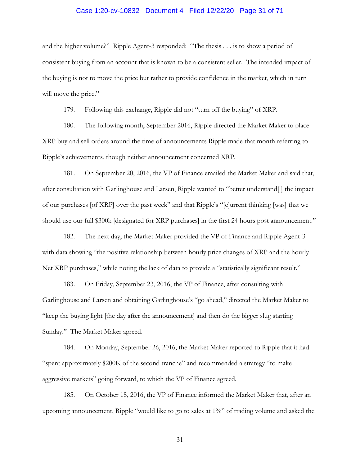# Case 1:20-cv-10832 Document 4 Filed 12/22/20 Page 31 of 71

and the higher volume?" Ripple Agent-3 responded: "The thesis . . . is to show a period of consistent buying from an account that is known to be a consistent seller. The intended impact of the buying is not to move the price but rather to provide confidence in the market, which in turn will move the price."

179. Following this exchange, Ripple did not "turn off the buying" of XRP.

180. The following month, September 2016, Ripple directed the Market Maker to place XRP buy and sell orders around the time of announcements Ripple made that month referring to Ripple's achievements, though neither announcement concerned XRP.

181. On September 20, 2016, the VP of Finance emailed the Market Maker and said that, after consultation with Garlinghouse and Larsen, Ripple wanted to "better understand[ ] the impact of our purchases [of XRP] over the past week" and that Ripple's "[c]urrent thinking [was] that we should use our full \$300k [designated for XRP purchases] in the first 24 hours post announcement."

182. The next day, the Market Maker provided the VP of Finance and Ripple Agent-3 with data showing "the positive relationship between hourly price changes of XRP and the hourly Net XRP purchases," while noting the lack of data to provide a "statistically significant result."

183. On Friday, September 23, 2016, the VP of Finance, after consulting with Garlinghouse and Larsen and obtaining Garlinghouse's "go ahead," directed the Market Maker to "keep the buying light [the day after the announcement] and then do the bigger slug starting Sunday." The Market Maker agreed.

184. On Monday, September 26, 2016, the Market Maker reported to Ripple that it had "spent approximately \$200K of the second tranche" and recommended a strategy "to make aggressive markets" going forward, to which the VP of Finance agreed.

185. On October 15, 2016, the VP of Finance informed the Market Maker that, after an upcoming announcement, Ripple "would like to go to sales at 1%" of trading volume and asked the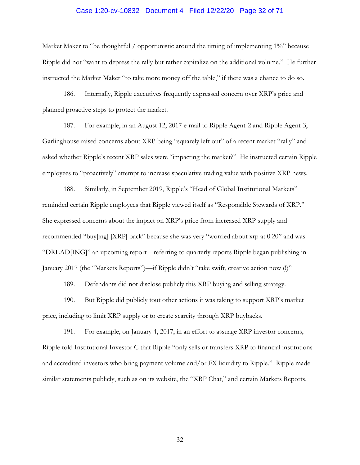#### Case 1:20-cv-10832 Document 4 Filed 12/22/20 Page 32 of 71

Market Maker to "be thoughtful / opportunistic around the timing of implementing 1%" because Ripple did not "want to depress the rally but rather capitalize on the additional volume." He further instructed the Marker Maker "to take more money off the table," if there was a chance to do so.

186. Internally, Ripple executives frequently expressed concern over XRP's price and planned proactive steps to protect the market.

187. For example, in an August 12, 2017 e-mail to Ripple Agent-2 and Ripple Agent-3, Garlinghouse raised concerns about XRP being "squarely left out" of a recent market "rally" and asked whether Ripple's recent XRP sales were "impacting the market?" He instructed certain Ripple employees to "proactively" attempt to increase speculative trading value with positive XRP news.

188. Similarly, in September 2019, Ripple's "Head of Global Institutional Markets" reminded certain Ripple employees that Ripple viewed itself as "Responsible Stewards of XRP." She expressed concerns about the impact on XRP's price from increased XRP supply and recommended "buy[ing] [XRP] back" because she was very "worried about xrp at 0.20" and was "DREAD[ING]" an upcoming report—referring to quarterly reports Ripple began publishing in January 2017 (the "Markets Reports")—if Ripple didn't "take swift, creative action now (!)"

189. Defendants did not disclose publicly this XRP buying and selling strategy.

190. But Ripple did publicly tout other actions it was taking to support XRP's market price, including to limit XRP supply or to create scarcity through XRP buybacks.

191. For example, on January 4, 2017, in an effort to assuage XRP investor concerns, Ripple told Institutional Investor C that Ripple "only sells or transfers XRP to financial institutions and accredited investors who bring payment volume and/or FX liquidity to Ripple." Ripple made similar statements publicly, such as on its website, the "XRP Chat," and certain Markets Reports.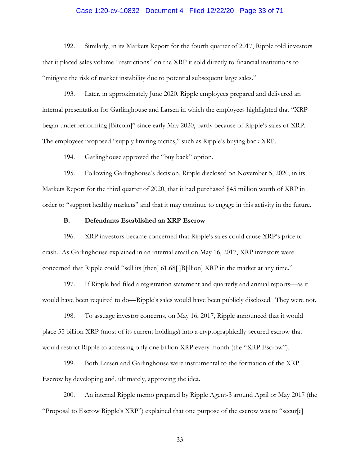# Case 1:20-cv-10832 Document 4 Filed 12/22/20 Page 33 of 71

192. Similarly, in its Markets Report for the fourth quarter of 2017, Ripple told investors that it placed sales volume "restrictions" on the XRP it sold directly to financial institutions to "mitigate the risk of market instability due to potential subsequent large sales."

193. Later, in approximately June 2020, Ripple employees prepared and delivered an internal presentation for Garlinghouse and Larsen in which the employees highlighted that "XRP began underperforming [Bitcoin]" since early May 2020, partly because of Ripple's sales of XRP. The employees proposed "supply limiting tactics," such as Ripple's buying back XRP.

194. Garlinghouse approved the "buy back" option.

195. Following Garlinghouse's decision, Ripple disclosed on November 5, 2020, in its Markets Report for the third quarter of 2020, that it had purchased \$45 million worth of XRP in order to "support healthy markets" and that it may continue to engage in this activity in the future.

#### **B. Defendants Established an XRP Escrow**

196. XRP investors became concerned that Ripple's sales could cause XRP's price to crash. As Garlinghouse explained in an internal email on May 16, 2017, XRP investors were concerned that Ripple could "sell its [then] 61.68[ ]B[illion] XRP in the market at any time."

197. If Ripple had filed a registration statement and quarterly and annual reports—as it would have been required to do—Ripple's sales would have been publicly disclosed. They were not.

198. To assuage investor concerns, on May 16, 2017, Ripple announced that it would place 55 billion XRP (most of its current holdings) into a cryptographically-secured escrow that would restrict Ripple to accessing only one billion XRP every month (the "XRP Escrow").

199. Both Larsen and Garlinghouse were instrumental to the formation of the XRP Escrow by developing and, ultimately, approving the idea.

200. An internal Ripple memo prepared by Ripple Agent-3 around April or May 2017 (the "Proposal to Escrow Ripple's XRP") explained that one purpose of the escrow was to "secur[e]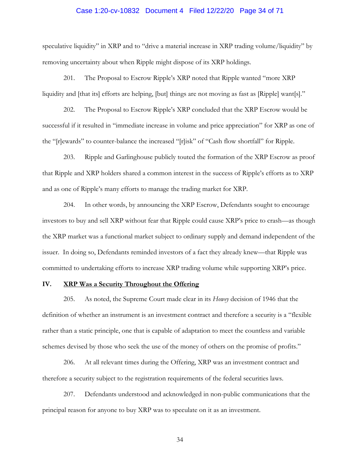# Case 1:20-cv-10832 Document 4 Filed 12/22/20 Page 34 of 71

speculative liquidity" in XRP and to "drive a material increase in XRP trading volume/liquidity" by removing uncertainty about when Ripple might dispose of its XRP holdings.

201. The Proposal to Escrow Ripple's XRP noted that Ripple wanted "more XRP liquidity and [that its] efforts are helping, [but] things are not moving as fast as [Ripple] want[s]."

202. The Proposal to Escrow Ripple's XRP concluded that the XRP Escrow would be successful if it resulted in "immediate increase in volume and price appreciation" for XRP as one of the "[r]ewards" to counter-balance the increased "[r]isk" of "Cash flow shortfall" for Ripple.

203. Ripple and Garlinghouse publicly touted the formation of the XRP Escrow as proof that Ripple and XRP holders shared a common interest in the success of Ripple's efforts as to XRP and as one of Ripple's many efforts to manage the trading market for XRP.

204. In other words, by announcing the XRP Escrow, Defendants sought to encourage investors to buy and sell XRP without fear that Ripple could cause XRP's price to crash—as though the XRP market was a functional market subject to ordinary supply and demand independent of the issuer. In doing so, Defendants reminded investors of a fact they already knew—that Ripple was committed to undertaking efforts to increase XRP trading volume while supporting XRP's price.

## **IV. XRP Was a Security Throughout the Offering**

205. As noted, the Supreme Court made clear in its *Howey* decision of 1946 that the definition of whether an instrument is an investment contract and therefore a security is a "flexible rather than a static principle, one that is capable of adaptation to meet the countless and variable schemes devised by those who seek the use of the money of others on the promise of profits."

206. At all relevant times during the Offering, XRP was an investment contract and therefore a security subject to the registration requirements of the federal securities laws.

207. Defendants understood and acknowledged in non-public communications that the principal reason for anyone to buy XRP was to speculate on it as an investment.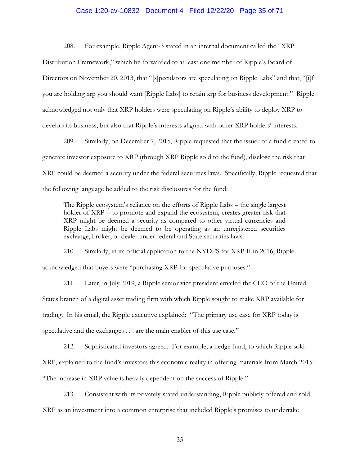## Case 1:20-cv-10832 Document 4 Filed 12/22/20 Page 35 of 71

208. For example, Ripple Agent-3 stated in an internal document called the "XRP Distribution Framework," which he forwarded to at least one member of Ripple's Board of Directors on November 20, 2013, that "[s]peculators are speculating on Ripple Labs" and that, "[i]f you are holding xrp you should want [Ripple Labs] to retain xrp for business development." Ripple acknowledged not only that XRP holders were speculating on Ripple's ability to deploy XRP to develop its business, but also that Ripple's interests aligned with other XRP holders' interests.

209. Similarly, on December 7, 2015, Ripple requested that the issuer of a fund created to generate investor exposure to XRP (through XRP Ripple sold to the fund), disclose the risk that XRP could be deemed a security under the federal securities laws. Specifically, Ripple requested that the following language be added to the risk disclosures for the fund:

The Ripple ecosystem's reliance on the efforts of Ripple Labs – the single largest holder of XRP – to promote and expand the ecosystem, creates greater risk that XRP might be deemed a security as compared to other virtual currencies and Ripple Labs might be deemed to be operating as an unregistered securities exchange, broker, or dealer under federal and State securities laws.

210. Similarly, in its official application to the NYDFS for XRP II in 2016, Ripple acknowledged that buyers were "purchasing XRP for speculative purposes."

<span id="page-34-0"></span>211. Later, in July 2019, a Ripple senior vice president emailed the CEO of the United States branch of a digital asset trading firm with which Ripple sought to make XRP available for trading. In his email, the Ripple executive explained: "The primary use case for XRP today is speculative and the exchanges . . . are the main enabler of this use case."

212. Sophisticated investors agreed. For example, a hedge fund, to which Ripple sold XRP, explained to the fund's investors this economic reality in offering materials from March 2015: "The increase in XRP value is heavily dependent on the success of Ripple."

213. Consistent with its privately-stated understanding, Ripple publicly offered and sold XRP as an investment into a common enterprise that included Ripple's promises to undertake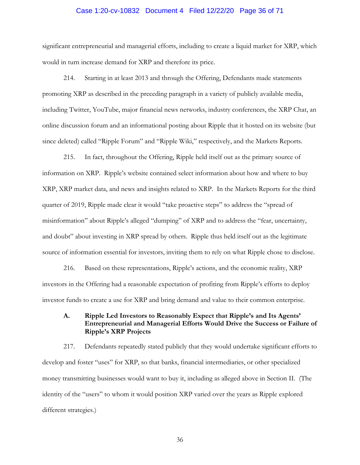# Case 1:20-cv-10832 Document 4 Filed 12/22/20 Page 36 of 71

significant entrepreneurial and managerial efforts, including to create a liquid market for XRP, which would in turn increase demand for XRP and therefore its price.

214. Starting in at least 2013 and through the Offering, Defendants made statements promoting XRP as described in the preceding paragraph in a variety of publicly available media, including Twitter, YouTube, major financial news networks, industry conferences, the XRP Chat, an online discussion forum and an informational posting about Ripple that it hosted on its website (but since deleted) called "Ripple Forum" and "Ripple Wiki," respectively, and the Markets Reports.

215. In fact, throughout the Offering, Ripple held itself out as the primary source of information on XRP. Ripple's website contained select information about how and where to buy XRP, XRP market data, and news and insights related to XRP. In the Markets Reports for the third quarter of 2019, Ripple made clear it would "take proactive steps" to address the "spread of misinformation" about Ripple's alleged "dumping" of XRP and to address the "fear, uncertainty, and doubt" about investing in XRP spread by others. Ripple thus held itself out as the legitimate source of information essential for investors, inviting them to rely on what Ripple chose to disclose.

216. Based on these representations, Ripple's actions, and the economic reality, XRP investors in the Offering had a reasonable expectation of profiting from Ripple's efforts to deploy investor funds to create a use for XRP and bring demand and value to their common enterprise.

## **A. Ripple Led Investors to Reasonably Expect that Ripple's and Its Agents' Entrepreneurial and Managerial Efforts Would Drive the Success or Failure of Ripple's XRP Projects**

217. Defendants repeatedly stated publicly that they would undertake significant efforts to develop and foster "uses" for XRP, so that banks, financial intermediaries, or other specialized money transmitting businesses would want to buy it, including as alleged above in Section II. (The identity of the "users" to whom it would position XRP varied over the years as Ripple explored different strategies.)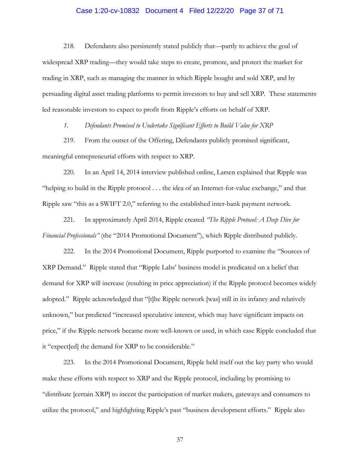## Case 1:20-cv-10832 Document 4 Filed 12/22/20 Page 37 of 71

218. Defendants also persistently stated publicly that—partly to achieve the goal of widespread XRP trading—they would take steps to create, promote, and protect the market for trading in XRP, such as managing the manner in which Ripple bought and sold XRP, and by persuading digital asset trading platforms to permit investors to buy and sell XRP. These statements led reasonable investors to expect to profit from Ripple's efforts on behalf of XRP.

*1. Defendants Promised to Undertake Significant Efforts to Build Value for XRP*

219. From the outset of the Offering, Defendants publicly promised significant, meaningful entrepreneurial efforts with respect to XRP.

220. In an April 14, 2014 interview published online, Larsen explained that Ripple was "helping to build in the Ripple protocol . . . the idea of an Internet-for-value exchange," and that Ripple saw "this as a SWIFT 2.0," referring to the established inter-bank payment network.

221. In approximately April 2014, Ripple created *"The Ripple Protocol: A Deep Dive for Financial Professionals"* (the "2014 Promotional Document"), which Ripple distributed publicly.

222. In the 2014 Promotional Document, Ripple purported to examine the "Sources of XRP Demand." Ripple stated that "Ripple Labs' business model is predicated on a belief that demand for XRP will increase (resulting in price appreciation) if the Ripple protocol becomes widely adopted." Ripple acknowledged that "[t]he Ripple network [was] still in its infancy and relatively unknown," but predicted "increased speculative interest, which may have significant impacts on price," if the Ripple network became more well-known or used, in which case Ripple concluded that it "expect[ed] the demand for XRP to be considerable."

223. In the 2014 Promotional Document, Ripple held itself out the key party who would make these efforts with respect to XRP and the Ripple protocol, including by promising to "distribute [certain XRP] to incent the participation of market makers, gateways and consumers to utilize the protocol," and highlighting Ripple's past "business development efforts." Ripple also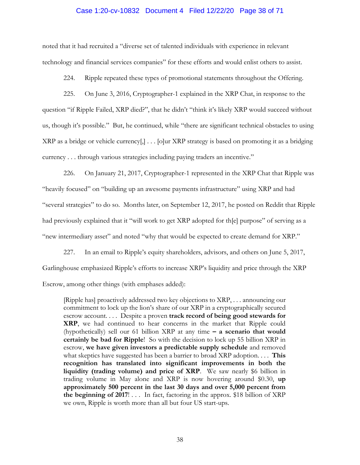#### Case 1:20-cv-10832 Document 4 Filed 12/22/20 Page 38 of 71

noted that it had recruited a "diverse set of talented individuals with experience in relevant technology and financial services companies" for these efforts and would enlist others to assist.

224. Ripple repeated these types of promotional statements throughout the Offering.

225. On June 3, 2016, Cryptographer-1 explained in the XRP Chat, in response to the question "if Ripple Failed, XRP died?", that he didn't "think it's likely XRP would succeed without us, though it's possible." But, he continued, while "there are significant technical obstacles to using XRP as a bridge or vehicle currency[,] . . . [o]ur XRP strategy is based on promoting it as a bridging currency . . . through various strategies including paying traders an incentive."

226. On January 21, 2017, Cryptographer-1 represented in the XRP Chat that Ripple was "heavily focused" on "building up an awesome payments infrastructure" using XRP and had "several strategies" to do so. Months later, on September 12, 2017, he posted on Reddit that Ripple had previously explained that it "will work to get XRP adopted for th[e] purpose" of serving as a "new intermediary asset" and noted "why that would be expected to create demand for XRP."

227. In an email to Ripple's equity shareholders, advisors, and others on June 5, 2017, Garlinghouse emphasized Ripple's efforts to increase XRP's liquidity and price through the XRP Escrow, among other things (with emphases added):

[Ripple has] proactively addressed two key objections to XRP, . . . announcing our commitment to lock up the lion's share of our XRP in a cryptographically secured escrow account. . . . Despite a proven **track record of being good stewards for XRP**, we had continued to hear concerns in the market that Ripple could (hypothetically) sell our 61 billion XRP at any time **– a scenario that would certainly be bad for Ripple**! So with the decision to lock up 55 billion XRP in escrow, **we have given investors a predictable supply schedule** and removed what skeptics have suggested has been a barrier to broad XRP adoption. . . . **This recognition has translated into significant improvements in both the liquidity (trading volume) and price of XRP**. We saw nearly \$6 billion in trading volume in May alone and XRP is now hovering around \$0.30, **up approximately 500 percent in the last 30 days and over 5,000 percent from the beginning of 2017**! . . . In fact, factoring in the approx. \$18 billion of XRP we own, Ripple is worth more than all but four US start-ups.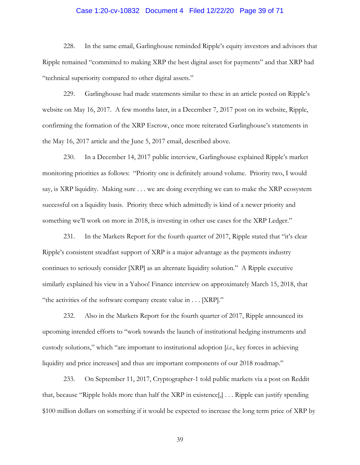# Case 1:20-cv-10832 Document 4 Filed 12/22/20 Page 39 of 71

228. In the same email, Garlinghouse reminded Ripple's equity investors and advisors that Ripple remained "committed to making XRP the best digital asset for payments" and that XRP had "technical superiority compared to other digital assets."

229. Garlinghouse had made statements similar to these in an article posted on Ripple's website on May 16, 2017. A few months later, in a December 7, 2017 post on its website, Ripple, confirming the formation of the XRP Escrow, once more reiterated Garlinghouse's statements in the May 16, 2017 article and the June 5, 2017 email, described above.

230. In a December 14, 2017 public interview, Garlinghouse explained Ripple's market monitoring priorities as follows: "Priority one is definitely around volume. Priority two, I would say, is XRP liquidity. Making sure . . . we are doing everything we can to make the XRP ecosystem successful on a liquidity basis. Priority three which admittedly is kind of a newer priority and something we'll work on more in 2018, is investing in other use cases for the XRP Ledger."

231. In the Markets Report for the fourth quarter of 2017, Ripple stated that "it's clear Ripple's consistent steadfast support of XRP is a major advantage as the payments industry continues to seriously consider [XRP] as an alternate liquidity solution." A Ripple executive similarly explained his view in a Yahoo! Finance interview on approximately March 15, 2018, that "the activities of the software company create value in . . . [XRP]."

232. Also in the Markets Report for the fourth quarter of 2017, Ripple announced its upcoming intended efforts to "work towards the launch of institutional hedging instruments and custody solutions," which "are important to institutional adoption [*i.e.*, key forces in achieving liquidity and price increases] and thus are important components of our 2018 roadmap."

233. On September 11, 2017, Cryptographer-1 told public markets via a post on Reddit that, because "Ripple holds more than half the XRP in existence[,] . . . Ripple can justify spending \$100 million dollars on something if it would be expected to increase the long term price of XRP by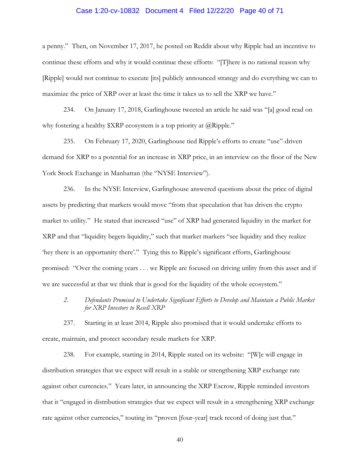#### Case 1:20-cv-10832 Document 4 Filed 12/22/20 Page 40 of 71

a penny." Then, on November 17, 2017, he posted on Reddit about why Ripple had an incentive to continue these efforts and why it would continue these efforts: "[T]here is no rational reason why [Ripple] would not continue to execute [its] publicly announced strategy and do everything we can to maximize the price of XRP over at least the time it takes us to sell the XRP we have."

234. On January 17, 2018, Garlinghouse tweeted an article he said was "[a] good read on why fostering a healthy  $XRP$  ecosystem is a top priority at @Ripple."

235. On February 17, 2020, Garlinghouse tied Ripple's efforts to create "use"-driven demand for XRP to a potential for an increase in XRP price, in an interview on the floor of the New York Stock Exchange in Manhattan (the "NYSE Interview").

236. In the NYSE Interview, Garlinghouse answered questions about the price of digital assets by predicting that markets would move "from that speculation that has driven the crypto market to utility." He stated that increased "use" of XRP had generated liquidity in the market for XRP and that "liquidity begets liquidity," such that market markers "see liquidity and they realize 'hey there is an opportunity there'." Tying this to Ripple's significant efforts, Garlinghouse promised: "Over the coming years . . . we Ripple are focused on driving utility from this asset and if we are successful at that we think that is good for the liquidity of the whole ecosystem."

*2. Defendants Promised to Undertake Significant Efforts to Develop and Maintain a Public Market for XRP Investors to Resell XRP*

237. Starting in at least 2014, Ripple also promised that it would undertake efforts to create, maintain, and protect secondary resale markets for XRP.

238. For example, starting in 2014, Ripple stated on its website: "[W]e will engage in distribution strategies that we expect will result in a stable or strengthening XRP exchange rate against other currencies." Years later, in announcing the XRP Escrow, Ripple reminded investors that it "engaged in distribution strategies that we expect will result in a strengthening XRP exchange rate against other currencies," touting its "proven [four-year] track record of doing just that."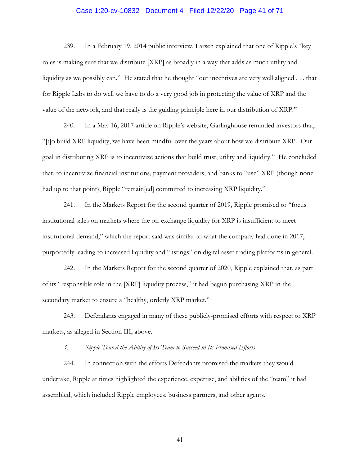# Case 1:20-cv-10832 Document 4 Filed 12/22/20 Page 41 of 71

239. In a February 19, 2014 public interview, Larsen explained that one of Ripple's "key roles is making sure that we distribute [XRP] as broadly in a way that adds as much utility and liquidity as we possibly can." He stated that he thought "our incentives are very well aligned . . . that for Ripple Labs to do well we have to do a very good job in protecting the value of XRP and the value of the network, and that really is the guiding principle here in our distribution of XRP."

240. In a May 16, 2017 article on Ripple's website, Garlinghouse reminded investors that, "[t]o build XRP liquidity, we have been mindful over the years about how we distribute XRP. Our goal in distributing XRP is to incentivize actions that build trust, utility and liquidity." He concluded that, to incentivize financial institutions, payment providers, and banks to "use" XRP (though none had up to that point), Ripple "remain[ed] committed to increasing XRP liquidity."

241. In the Markets Report for the second quarter of 2019, Ripple promised to "focus institutional sales on markets where the on-exchange liquidity for XRP is insufficient to meet institutional demand," which the report said was similar to what the company had done in 2017, purportedly leading to increased liquidity and "listings" on digital asset trading platforms in general.

242. In the Markets Report for the second quarter of 2020, Ripple explained that, as part of its "responsible role in the [XRP] liquidity process," it had begun purchasing XRP in the secondary market to ensure a "healthy, orderly XRP market."

243. Defendants engaged in many of these publicly-promised efforts with respect to XRP markets, as alleged in Section III, above.

*3. Ripple Touted the Ability of Its Team to Succeed in Its Promised Efforts*

244. In connection with the efforts Defendants promised the markets they would undertake, Ripple at times highlighted the experience, expertise, and abilities of the "team" it had assembled, which included Ripple employees, business partners, and other agents.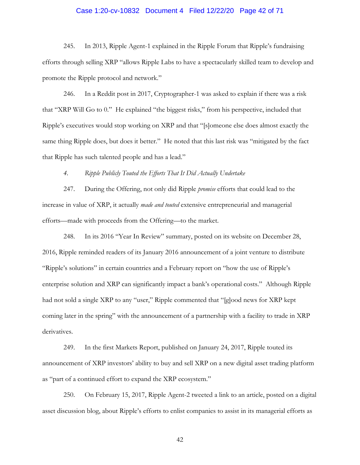# Case 1:20-cv-10832 Document 4 Filed 12/22/20 Page 42 of 71

245. In 2013, Ripple Agent-1 explained in the Ripple Forum that Ripple's fundraising efforts through selling XRP "allows Ripple Labs to have a spectacularly skilled team to develop and promote the Ripple protocol and network."

246. In a Reddit post in 2017, Cryptographer-1 was asked to explain if there was a risk that "XRP Will Go to 0." He explained "the biggest risks," from his perspective, included that Ripple's executives would stop working on XRP and that "[s]omeone else does almost exactly the same thing Ripple does, but does it better." He noted that this last risk was "mitigated by the fact that Ripple has such talented people and has a lead."

*4. Ripple Publicly Touted the Efforts That It Did Actually Undertake*

247. During the Offering, not only did Ripple *promise* efforts that could lead to the increase in value of XRP, it actually *made and touted* extensive entrepreneurial and managerial efforts—made with proceeds from the Offering—to the market.

248. In its 2016 "Year In Review" summary, posted on its website on December 28, 2016, Ripple reminded readers of its January 2016 announcement of a joint venture to distribute "Ripple's solutions" in certain countries and a February report on "how the use of Ripple's enterprise solution and XRP can significantly impact a bank's operational costs." Although Ripple had not sold a single XRP to any "user," Ripple commented that "[g]ood news for XRP kept coming later in the spring" with the announcement of a partnership with a facility to trade in XRP derivatives.

249. In the first Markets Report, published on January 24, 2017, Ripple touted its announcement of XRP investors' ability to buy and sell XRP on a new digital asset trading platform as "part of a continued effort to expand the XRP ecosystem."

250. On February 15, 2017, Ripple Agent-2 tweeted a link to an article, posted on a digital asset discussion blog, about Ripple's efforts to enlist companies to assist in its managerial efforts as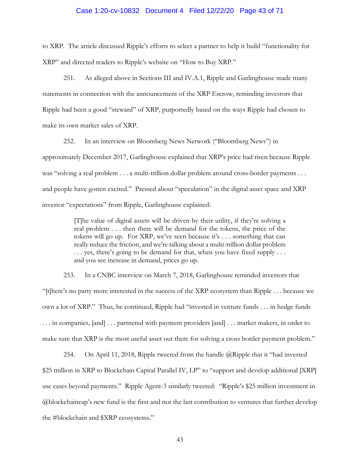#### Case 1:20-cv-10832 Document 4 Filed 12/22/20 Page 43 of 71

to XRP. The article discussed Ripple's efforts to select a partner to help it build "functionality for XRP" and directed readers to Ripple's website on "How to Buy XRP."

251. As alleged above in Sections III and IV.A.1, Ripple and Garlinghouse made many statements in connection with the announcement of the XRP Escrow, reminding investors that Ripple had been a good "steward" of XRP, purportedly based on the ways Ripple had chosen to make its own market sales of XRP.

252. In an interview on Bloomberg News Network ("Bloomberg News") in approximately December 2017, Garlinghouse explained that XRP's price had risen because Ripple was "solving a real problem . . . a multi-trillion dollar problem around cross-border payments . . . and people have gotten excited." Pressed about "speculation" in the digital asset space and XRP investor "expectations" from Ripple, Garlinghouse explained:

> [T]he value of digital assets will be driven by their utility, if they're solving a real problem . . . then there will be demand for the tokens, the price of the tokens will go up. For XRP, we've seen because it's . . . something that can really reduce the friction, and we're talking about a multi-trillion dollar problem ... yes, there's going to be demand for that, when you have fixed supply ... and you see increase in demand, prices go up.

253. In a CNBC interview on March 7, 2018, Garlinghouse reminded investors that "[t]here's no party more interested in the success of the XRP ecosystem than Ripple . . . because we own a lot of XRP." Thus, he continued, Ripple had "invested in venture funds . . . in hedge funds . . . in companies, [and] . . . partnered with payment providers [and] . . . market makers, in order to make sure that XRP is the most useful asset out there for solving a cross border payment problem."

254. On April 11, 2018, Ripple tweeted from the handle  $@R$ ipple that it "had invested \$25 million in XRP to Blockchain Capital Parallel IV, LP" to "support and develop additional [XRP] use cases beyond payments." Ripple Agent-3 similarly tweeted: "Ripple's \$25 million investment in @blockchaincap's new fund is the first and not the last contribution to ventures that further develop the #blockchain and \$XRP ecosystems."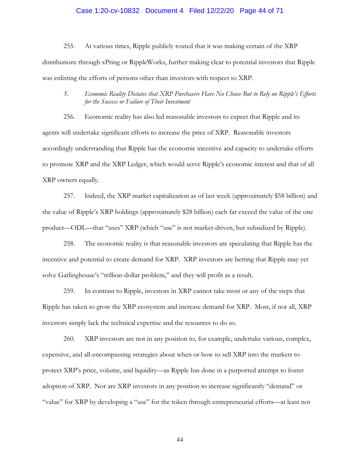# Case 1:20-cv-10832 Document 4 Filed 12/22/20 Page 44 of 71

255. At various times, Ripple publicly touted that it was making certain of the XRP distributions through xPring or RippleWorks, further making clear to potential investors that Ripple was enlisting the efforts of persons other than investors with respect to XRP.

## *5. Economic Reality Dictates that XRP Purchasers Have No Choice But to Rely on Ripple's Efforts for the Success or Failure of Their Investment*

256. Economic reality has also led reasonable investors to expect that Ripple and its agents will undertake significant efforts to increase the price of XRP. Reasonable investors accordingly understanding that Ripple has the economic incentive and capacity to undertake efforts to promote XRP and the XRP Ledger, which would serve Ripple's economic interest and that of all XRP owners equally.

257. Indeed, the XRP market capitalization as of last week (approximately \$58 billion) and the value of Ripple's XRP holdings (approximately \$28 billion) each far exceed the value of the one product—ODL—that "uses" XRP (which "use" is not market-driven, but subsidized by Ripple).

258. The economic reality is that reasonable investors are speculating that Ripple has the incentive and potential to create demand for XRP. XRP investors are betting that Ripple may yet solve Garlinghouse's "trillion-dollar problem," and they will profit as a result.

259. In contrast to Ripple, investors in XRP cannot take most or any of the steps that Ripple has taken to grow the XRP ecosystem and increase demand for XRP. Most, if not all, XRP investors simply lack the technical expertise and the resources to do so.

260. XRP investors are not in any position to, for example, undertake various, complex, expensive, and all-encompassing strategies about when or how to sell XRP into the markets to protect XRP's price, volume, and liquidity—as Ripple has done in a purported attempt to foster adoption of XRP. Nor are XRP investors in any position to increase significantly "demand" or "value" for XRP by developing a "use" for the token through entrepreneurial efforts—at least not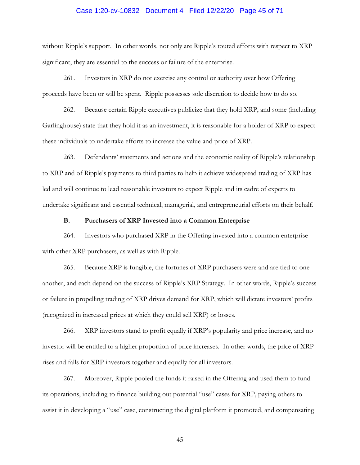# Case 1:20-cv-10832 Document 4 Filed 12/22/20 Page 45 of 71

without Ripple's support. In other words, not only are Ripple's touted efforts with respect to XRP significant, they are essential to the success or failure of the enterprise.

261. Investors in XRP do not exercise any control or authority over how Offering proceeds have been or will be spent. Ripple possesses sole discretion to decide how to do so.

262. Because certain Ripple executives publicize that they hold XRP, and some (including Garlinghouse) state that they hold it as an investment, it is reasonable for a holder of XRP to expect these individuals to undertake efforts to increase the value and price of XRP.

263. Defendants' statements and actions and the economic reality of Ripple's relationship to XRP and of Ripple's payments to third parties to help it achieve widespread trading of XRP has led and will continue to lead reasonable investors to expect Ripple and its cadre of experts to undertake significant and essential technical, managerial, and entrepreneurial efforts on their behalf.

#### **B. Purchasers of XRP Invested into a Common Enterprise**

264. Investors who purchased XRP in the Offering invested into a common enterprise with other XRP purchasers, as well as with Ripple.

265. Because XRP is fungible, the fortunes of XRP purchasers were and are tied to one another, and each depend on the success of Ripple's XRP Strategy. In other words, Ripple's success or failure in propelling trading of XRP drives demand for XRP, which will dictate investors' profits (recognized in increased prices at which they could sell XRP) or losses.

266. XRP investors stand to profit equally if XRP's popularity and price increase, and no investor will be entitled to a higher proportion of price increases. In other words, the price of XRP rises and falls for XRP investors together and equally for all investors.

267. Moreover, Ripple pooled the funds it raised in the Offering and used them to fund its operations, including to finance building out potential "use" cases for XRP, paying others to assist it in developing a "use" case, constructing the digital platform it promoted, and compensating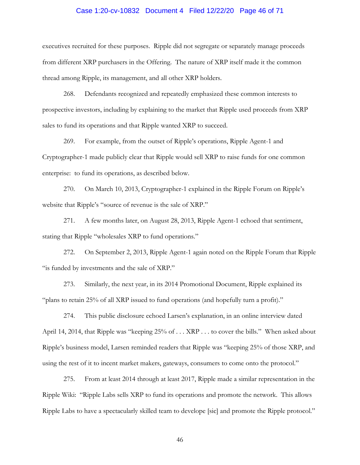# Case 1:20-cv-10832 Document 4 Filed 12/22/20 Page 46 of 71

executives recruited for these purposes. Ripple did not segregate or separately manage proceeds from different XRP purchasers in the Offering. The nature of XRP itself made it the common thread among Ripple, its management, and all other XRP holders.

268. Defendants recognized and repeatedly emphasized these common interests to prospective investors, including by explaining to the market that Ripple used proceeds from XRP sales to fund its operations and that Ripple wanted XRP to succeed.

269. For example, from the outset of Ripple's operations, Ripple Agent-1 and Cryptographer-1 made publicly clear that Ripple would sell XRP to raise funds for one common enterprise: to fund its operations, as described below.

270. On March 10, 2013, Cryptographer-1 explained in the Ripple Forum on Ripple's website that Ripple's "source of revenue is the sale of XRP."

271. A few months later, on August 28, 2013, Ripple Agent-1 echoed that sentiment, stating that Ripple "wholesales XRP to fund operations."

272. On September 2, 2013, Ripple Agent-1 again noted on the Ripple Forum that Ripple "is funded by investments and the sale of XRP."

273. Similarly, the next year, in its 2014 Promotional Document, Ripple explained its "plans to retain 25% of all XRP issued to fund operations (and hopefully turn a profit)."

274. This public disclosure echoed Larsen's explanation, in an online interview dated April 14, 2014, that Ripple was "keeping 25% of . . . XRP . . . to cover the bills." When asked about Ripple's business model, Larsen reminded readers that Ripple was "keeping 25% of those XRP, and using the rest of it to incent market makers, gateways, consumers to come onto the protocol."

275. From at least 2014 through at least 2017, Ripple made a similar representation in the Ripple Wiki: "Ripple Labs sells XRP to fund its operations and promote the network. This allows Ripple Labs to have a spectacularly skilled team to develope [sic] and promote the Ripple protocol."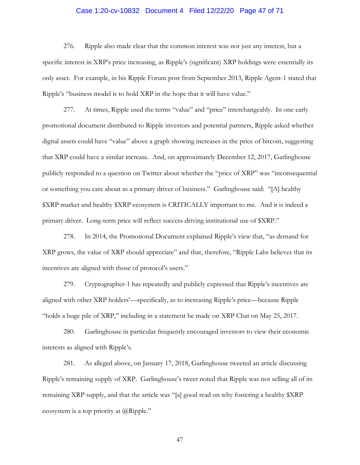# Case 1:20-cv-10832 Document 4 Filed 12/22/20 Page 47 of 71

276. Ripple also made clear that the common interest was not just any interest, but a specific interest in XRP's price increasing, as Ripple's (significant) XRP holdings were essentially its only asset. For example, in his Ripple Forum post from September 2013, Ripple Agent-1 stated that Ripple's "business model is to hold XRP in the hope that it will have value."

277. At times, Ripple used the terms "value" and "price" interchangeably. In one early promotional document distributed to Ripple investors and potential partners, Ripple asked whether digital assets could have "value" above a graph showing increases in the price of bitcoin, suggesting that XRP could have a similar increase. And, on approximately December 12, 2017, Garlinghouse publicly responded to a question on Twitter about whether the "price of XRP" was "inconsequential or something you care about as a primary driver of business." Garlinghouse said: "[A] healthy \$XRP market and healthy \$XRP ecosystem is CRITICALLY important to me. And it is indeed a primary driver. Long-term price will reflect success driving institutional use of \$XRP."

278. In 2014, the Promotional Document explained Ripple's view that, "as demand for XRP grows, the value of XRP should appreciate" and that, therefore, "Ripple Labs believes that its incentives are aligned with those of protocol's users."

279. Cryptographer-1 has repeatedly and publicly expressed that Ripple's incentives are aligned with other XRP holders'—specifically, as to increasing Ripple's price—because Ripple "holds a huge pile of XRP," including in a statement he made on XRP Chat on May 25, 2017.

280. Garlinghouse in particular frequently encouraged investors to view their economic interests as aligned with Ripple's.

281. As alleged above, on January 17, 2018, Garlinghouse tweeted an article discussing Ripple's remaining supply of XRP. Garlinghouse's tweet noted that Ripple was not selling all of its remaining XRP supply, and that the article was "[a] good read on why fostering a healthy \$XRP ecosystem is a top priority at @Ripple."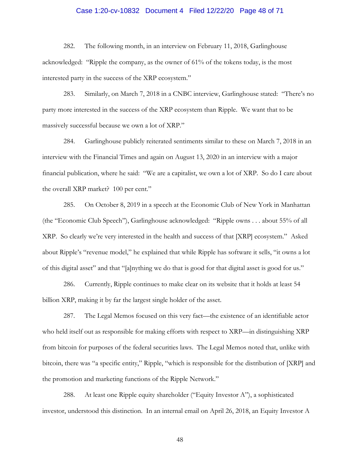# Case 1:20-cv-10832 Document 4 Filed 12/22/20 Page 48 of 71

282. The following month, in an interview on February 11, 2018, Garlinghouse acknowledged: "Ripple the company, as the owner of 61% of the tokens today, is the most interested party in the success of the XRP ecosystem."

283. Similarly, on March 7, 2018 in a CNBC interview, Garlinghouse stated: "There's no party more interested in the success of the XRP ecosystem than Ripple. We want that to be massively successful because we own a lot of XRP."

284. Garlinghouse publicly reiterated sentiments similar to these on March 7, 2018 in an interview with the Financial Times and again on August 13, 2020 in an interview with a major financial publication, where he said: "We are a capitalist, we own a lot of XRP. So do I care about the overall XRP market? 100 per cent."

285. On October 8, 2019 in a speech at the Economic Club of New York in Manhattan (the "Economic Club Speech"), Garlinghouse acknowledged: "Ripple owns . . . about 55% of all XRP. So clearly we're very interested in the health and success of that [XRP] ecosystem." Asked about Ripple's "revenue model," he explained that while Ripple has software it sells, "it owns a lot of this digital asset" and that "[a]nything we do that is good for that digital asset is good for us."

286. Currently, Ripple continues to make clear on its website that it holds at least 54 billion XRP, making it by far the largest single holder of the asset.

287. The Legal Memos focused on this very fact—the existence of an identifiable actor who held itself out as responsible for making efforts with respect to XRP—in distinguishing XRP from bitcoin for purposes of the federal securities laws. The Legal Memos noted that, unlike with bitcoin, there was "a specific entity," Ripple, "which is responsible for the distribution of [XRP] and the promotion and marketing functions of the Ripple Network."

288. At least one Ripple equity shareholder ("Equity Investor A"), a sophisticated investor, understood this distinction. In an internal email on April 26, 2018, an Equity Investor A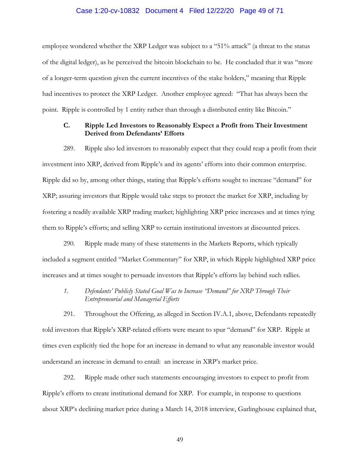# Case 1:20-cv-10832 Document 4 Filed 12/22/20 Page 49 of 71

employee wondered whether the XRP Ledger was subject to a "51% attack" (a threat to the status of the digital ledger), as he perceived the bitcoin blockchain to be. He concluded that it was "more of a longer-term question given the current incentives of the stake holders," meaning that Ripple had incentives to protect the XRP Ledger. Another employee agreed: "That has always been the point. Ripple is controlled by 1 entity rather than through a distributed entity like Bitcoin."

## **C. Ripple Led Investors to Reasonably Expect a Profit from Their Investment Derived from Defendants' Efforts**

289. Ripple also led investors to reasonably expect that they could reap a profit from their investment into XRP, derived from Ripple's and its agents' efforts into their common enterprise. Ripple did so by, among other things, stating that Ripple's efforts sought to increase "demand" for XRP; assuring investors that Ripple would take steps to protect the market for XRP, including by fostering a readily available XRP trading market; highlighting XRP price increases and at times tying them to Ripple's efforts; and selling XRP to certain institutional investors at discounted prices.

290. Ripple made many of these statements in the Markets Reports, which typically included a segment entitled "Market Commentary" for XRP, in which Ripple highlighted XRP price increases and at times sought to persuade investors that Ripple's efforts lay behind such rallies.

*1. Defendants' Publicly Stated Goal Was to Increase "Demand" for XRP Through Their Entrepreneurial and Managerial Efforts*

291. Throughout the Offering, as alleged in Section IV.A.1, above, Defendants repeatedly told investors that Ripple's XRP-related efforts were meant to spur "demand" for XRP. Ripple at times even explicitly tied the hope for an increase in demand to what any reasonable investor would understand an increase in demand to entail: an increase in XRP's market price.

292. Ripple made other such statements encouraging investors to expect to profit from Ripple's efforts to create institutional demand for XRP. For example, in response to questions about XRP's declining market price during a March 14, 2018 interview, Garlinghouse explained that,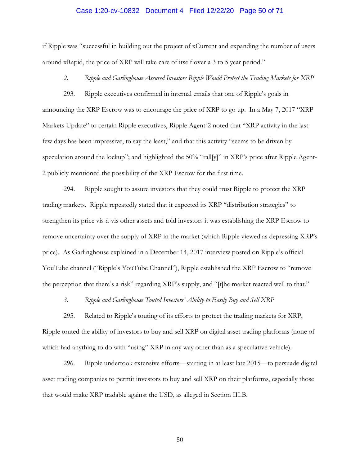#### Case 1:20-cv-10832 Document 4 Filed 12/22/20 Page 50 of 71

if Ripple was "successful in building out the project of xCurrent and expanding the number of users around xRapid, the price of XRP will take care of itself over a 3 to 5 year period."

#### *2. Ripple and Garlinghouse Assured Investors Ripple Would Protect the Trading Markets for XRP*

293. Ripple executives confirmed in internal emails that one of Ripple's goals in announcing the XRP Escrow was to encourage the price of XRP to go up. In a May 7, 2017 "XRP Markets Update" to certain Ripple executives, Ripple Agent-2 noted that "XRP activity in the last few days has been impressive, to say the least," and that this activity "seems to be driven by speculation around the lockup"; and highlighted the 50% "rall[y]" in XRP's price after Ripple Agent-2 publicly mentioned the possibility of the XRP Escrow for the first time.

294. Ripple sought to assure investors that they could trust Ripple to protect the XRP trading markets. Ripple repeatedly stated that it expected its XRP "distribution strategies" to strengthen its price vis-à-vis other assets and told investors it was establishing the XRP Escrow to remove uncertainty over the supply of XRP in the market (which Ripple viewed as depressing XRP's price). As Garlinghouse explained in a December 14, 2017 interview posted on Ripple's official YouTube channel ("Ripple's YouTube Channel"), Ripple established the XRP Escrow to "remove the perception that there's a risk" regarding XRP's supply, and "[t]he market reacted well to that."

*3. Ripple and Garlinghouse Touted Investors' Ability to Easily Buy and Sell XRP*

295. Related to Ripple's touting of its efforts to protect the trading markets for XRP, Ripple touted the ability of investors to buy and sell XRP on digital asset trading platforms (none of which had anything to do with "using" XRP in any way other than as a speculative vehicle).

296. Ripple undertook extensive efforts—starting in at least late 2015—to persuade digital asset trading companies to permit investors to buy and sell XRP on their platforms, especially those that would make XRP tradable against the USD, as alleged in Section III.B.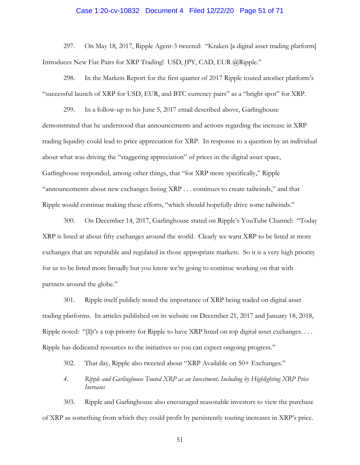#### Case 1:20-cv-10832 Document 4 Filed 12/22/20 Page 51 of 71

297. On May 18, 2017, Ripple Agent-3 tweeted: "Kraken [a digital asset trading platform] Introduces New Fiat Pairs for XRP Trading! USD, JPY, CAD, EUR @Ripple."

298. In the Markets Report for the first quarter of 2017 Ripple touted another platform's "successful launch of XRP for USD, EUR, and BTC currency pairs" as a "bright spot" for XRP.

299. In a follow-up to his June 5, 2017 email described above, Garlinghouse demonstrated that he understood that announcements and actions regarding the increase in XRP trading liquidity could lead to price appreciation for XRP. In response to a question by an individual about what was driving the "staggering appreciation" of prices in the digital asset space, Garlinghouse responded, among other things, that "for XRP more specifically," Ripple "announcements about new exchanges listing XRP . . . continues to create tailwinds," and that Ripple would continue making these efforts, "which should hopefully drive some tailwinds."

300. On December 14, 2017, Garlinghouse stated on Ripple's YouTube Channel: "Today XRP is listed at about fifty exchanges around the world. Clearly we want XRP to be listed at more exchanges that are reputable and regulated in those appropriate markets. So it is a very high priority for us to be listed more broadly but you know we're going to continue working on that with partners around the globe."

301. Ripple itself publicly noted the importance of XRP being traded on digital asset trading platforms. In articles published on its website on December 21, 2017 and January 18, 2018, Ripple noted: " $[1]$ t's a top priority for Ripple to have XRP listed on top digital asset exchanges. . . . Ripple has dedicated resources to the initiatives so you can expect ongoing progress."

302. That day, Ripple also tweeted about "XRP Available on 50+ Exchanges."

*4. Ripple and Garlinghouse Touted XRP as an Investment, Including by Highlighting XRP Price Increases*

303. Ripple and Garlinghouse also encouraged reasonable investors to view the purchase of XRP as something from which they could profit by persistently touting increases in XRP's price.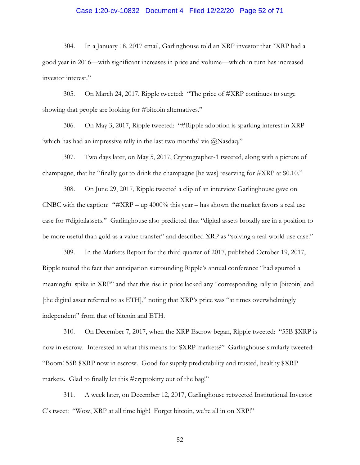# Case 1:20-cv-10832 Document 4 Filed 12/22/20 Page 52 of 71

304. In a January 18, 2017 email, Garlinghouse told an XRP investor that "XRP had a good year in 2016—with significant increases in price and volume—which in turn has increased investor interest."

305. On March 24, 2017, Ripple tweeted: "The price of #XRP continues to surge showing that people are looking for #bitcoin alternatives."

306. On May 3, 2017, Ripple tweeted: "#Ripple adoption is sparking interest in XRP 'which has had an impressive rally in the last two months' via @Nasdaq."

307. Two days later, on May 5, 2017, Cryptographer-1 tweeted, along with a picture of champagne, that he "finally got to drink the champagne [he was] reserving for #XRP at \$0.10."

308. On June 29, 2017, Ripple tweeted a clip of an interview Garlinghouse gave on CNBC with the caption: " $#XRP - up 4000\%$  this year – has shown the market favors a real use case for #digitalassets." Garlinghouse also predicted that "digital assets broadly are in a position to be more useful than gold as a value transfer" and described XRP as "solving a real-world use case."

309. In the Markets Report for the third quarter of 2017, published October 19, 2017, Ripple touted the fact that anticipation surrounding Ripple's annual conference "had spurred a meaningful spike in XRP" and that this rise in price lacked any "corresponding rally in [bitcoin] and [the digital asset referred to as ETH]," noting that XRP's price was "at times overwhelmingly independent" from that of bitcoin and ETH.

310. On December 7, 2017, when the XRP Escrow began, Ripple tweeted: "55B \$XRP is now in escrow. Interested in what this means for \$XRP markets?" Garlinghouse similarly tweeted: "Boom! 55B \$XRP now in escrow. Good for supply predictability and trusted, healthy \$XRP markets. Glad to finally let this #cryptokitty out of the bag!"

311. A week later, on December 12, 2017, Garlinghouse retweeted Institutional Investor C's tweet: "Wow, XRP at all time high! Forget bitcoin, we're all in on XRP!"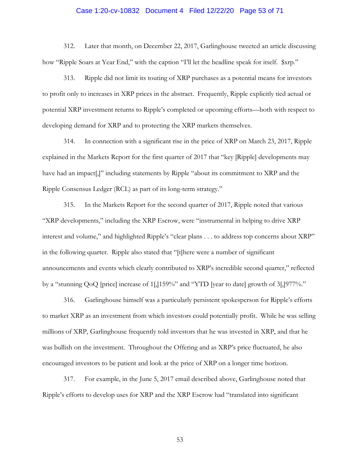#### Case 1:20-cv-10832 Document 4 Filed 12/22/20 Page 53 of 71

312. Later that month, on December 22, 2017, Garlinghouse tweeted an article discussing how "Ripple Soars at Year End," with the caption "I'll let the headline speak for itself.  $\gamma$ rp."

313. Ripple did not limit its touting of XRP purchases as a potential means for investors to profit only to increases in XRP prices in the abstract. Frequently, Ripple explicitly tied actual or potential XRP investment returns to Ripple's completed or upcoming efforts—both with respect to developing demand for XRP and to protecting the XRP markets themselves.

314. In connection with a significant rise in the price of XRP on March 23, 2017, Ripple explained in the Markets Report for the first quarter of 2017 that "key [Ripple] developments may have had an impact,  $J''$  including statements by Ripple "about its commitment to XRP and the Ripple Consensus Ledger (RCL) as part of its long-term strategy."

315. In the Markets Report for the second quarter of 2017, Ripple noted that various "XRP developments," including the XRP Escrow, were "instrumental in helping to drive XRP interest and volume," and highlighted Ripple's "clear plans . . . to address top concerns about XRP" in the following quarter. Ripple also stated that "[t]here were a number of significant announcements and events which clearly contributed to XRP's incredible second quarter," reflected by a "stunning QoQ [price] increase of 1[,]159%" and "YTD [year to date] growth of 3[,]977%."

316. Garlinghouse himself was a particularly persistent spokesperson for Ripple's efforts to market XRP as an investment from which investors could potentially profit. While he was selling millions of XRP, Garlinghouse frequently told investors that he was invested in XRP, and that he was bullish on the investment. Throughout the Offering and as XRP's price fluctuated, he also encouraged investors to be patient and look at the price of XRP on a longer time horizon.

317. For example, in the June 5, 2017 email described above, Garlinghouse noted that Ripple's efforts to develop uses for XRP and the XRP Escrow had "translated into significant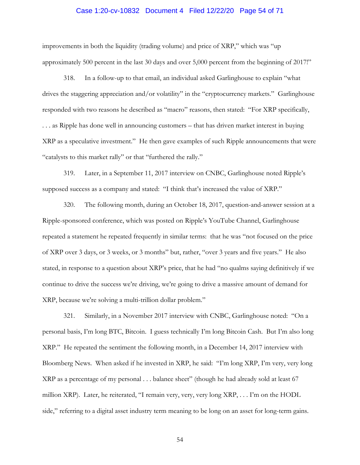#### Case 1:20-cv-10832 Document 4 Filed 12/22/20 Page 54 of 71

improvements in both the liquidity (trading volume) and price of XRP," which was "up approximately 500 percent in the last 30 days and over 5,000 percent from the beginning of 2017!"

318. In a follow-up to that email, an individual asked Garlinghouse to explain "what drives the staggering appreciation and/or volatility" in the "cryptocurrency markets." Garlinghouse responded with two reasons he described as "macro" reasons, then stated: "For XRP specifically, . . . as Ripple has done well in announcing customers – that has driven market interest in buying XRP as a speculative investment." He then gave examples of such Ripple announcements that were "catalysts to this market rally" or that "furthered the rally."

319. Later, in a September 11, 2017 interview on CNBC, Garlinghouse noted Ripple's supposed success as a company and stated: "I think that's increased the value of XRP."

320. The following month, during an October 18, 2017, question-and-answer session at a Ripple-sponsored conference, which was posted on Ripple's YouTube Channel, Garlinghouse repeated a statement he repeated frequently in similar terms: that he was "not focused on the price of XRP over 3 days, or 3 weeks, or 3 months" but, rather, "over 3 years and five years." He also stated, in response to a question about XRP's price, that he had "no qualms saying definitively if we continue to drive the success we're driving, we're going to drive a massive amount of demand for XRP, because we're solving a multi-trillion dollar problem."

321. Similarly, in a November 2017 interview with CNBC, Garlinghouse noted: "On a personal basis, I'm long BTC, Bitcoin. I guess technically I'm long Bitcoin Cash. But I'm also long XRP." He repeated the sentiment the following month, in a December 14, 2017 interview with Bloomberg News. When asked if he invested in XRP, he said: "I'm long XRP, I'm very, very long XRP as a percentage of my personal . . . balance sheet" (though he had already sold at least 67 million XRP). Later, he reiterated, "I remain very, very, very long XRP, . . . I'm on the HODL side," referring to a digital asset industry term meaning to be long on an asset for long-term gains.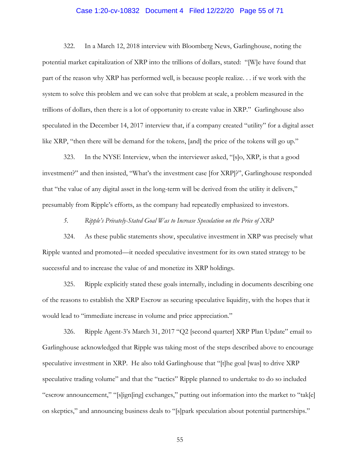# Case 1:20-cv-10832 Document 4 Filed 12/22/20 Page 55 of 71

322. In a March 12, 2018 interview with Bloomberg News, Garlinghouse, noting the potential market capitalization of XRP into the trillions of dollars, stated: "[W]e have found that part of the reason why XRP has performed well, is because people realize. . . if we work with the system to solve this problem and we can solve that problem at scale, a problem measured in the trillions of dollars, then there is a lot of opportunity to create value in XRP." Garlinghouse also speculated in the December 14, 2017 interview that, if a company created "utility" for a digital asset like XRP, "then there will be demand for the tokens, [and] the price of the tokens will go up."

323. In the NYSE Interview, when the interviewer asked, "[s]o, XRP, is that a good investment?" and then insisted, "What's the investment case [for XRP]?", Garlinghouse responded that "the value of any digital asset in the long-term will be derived from the utility it delivers," presumably from Ripple's efforts, as the company had repeatedly emphasized to investors.

*5. Ripple's Privately-Stated Goal Was to Increase Speculation on the Price of XRP*

324. As these public statements show, speculative investment in XRP was precisely what Ripple wanted and promoted—it needed speculative investment for its own stated strategy to be successful and to increase the value of and monetize its XRP holdings.

325. Ripple explicitly stated these goals internally, including in documents describing one of the reasons to establish the XRP Escrow as securing speculative liquidity, with the hopes that it would lead to "immediate increase in volume and price appreciation."

326. Ripple Agent-3's March 31, 2017 "Q2 [second quarter] XRP Plan Update" email to Garlinghouse acknowledged that Ripple was taking most of the steps described above to encourage speculative investment in XRP. He also told Garlinghouse that "[t]he goal [was] to drive XRP speculative trading volume" and that the "tactics" Ripple planned to undertake to do so included "escrow announcement," "[s]ign[ing] exchanges," putting out information into the market to "tak[e] on skeptics," and announcing business deals to "[s]park speculation about potential partnerships."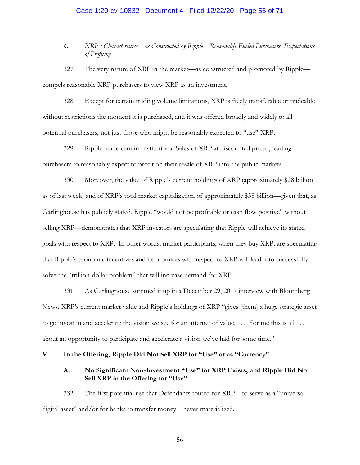# Case 1:20-cv-10832 Document 4 Filed 12/22/20 Page 56 of 71

## *6. XRP's Characteristics—as Constructed by Ripple—Reasonably Fueled Purchasers' Expectations of Profiting*

327. The very nature of XRP in the market—as constructed and promoted by Ripple compels reasonable XRP purchasers to view XRP as an investment.

328. Except for certain trading volume limitations, XRP is freely transferable or tradeable without restrictions the moment it is purchased, and it was offered broadly and widely to all potential purchasers, not just those who might be reasonably expected to "use" XRP.

329. Ripple made certain Institutional Sales of XRP at discounted priced, leading purchasers to reasonably expect to profit on their resale of XRP into the public markets.

330. Moreover, the value of Ripple's current holdings of XRP (approximately \$28 billion as of last week) and of XRP's total market capitalization of approximately \$58 billion—given that, as Garlinghouse has publicly stated, Ripple "would not be profitable or cash flow positive" without selling XRP—demonstrates that XRP investors are speculating that Ripple will achieve its stated goals with respect to XRP. In other words, market participants, when they buy XRP, are speculating that Ripple's economic incentives and its promises with respect to XRP will lead it to successfully solve the "trillion-dollar problem" that will increase demand for XRP.

331. As Garlinghouse summed it up in a December 29, 2017 interview with Bloomberg News, XRP's current market value and Ripple's holdings of XRP "gives [them] a huge strategic asset to go invest in and accelerate the vision we see for an internet of value. . . . For me this is all . . . about an opportunity to participate and accelerate a vision we've had for some time."

## **V. In the Offering, Ripple Did Not Sell XRP for "Use" or as "Currency"**

## **A. No Significant Non-Investment "Use" for XRP Exists, and Ripple Did Not Sell XRP in the Offering for "Use"**

332. The first potential use that Defendants touted for XRP—to serve as a "universal digital asset" and/or for banks to transfer money—never materialized.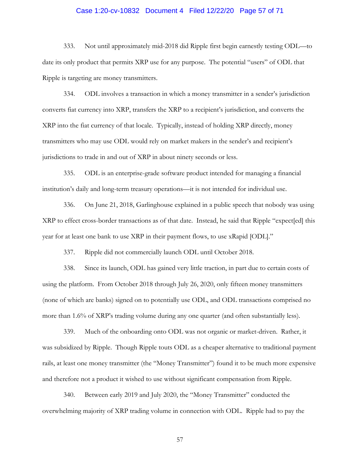# Case 1:20-cv-10832 Document 4 Filed 12/22/20 Page 57 of 71

333. Not until approximately mid-2018 did Ripple first begin earnestly testing ODL—to date its only product that permits XRP use for any purpose. The potential "users" of ODL that Ripple is targeting are money transmitters.

334. ODL involves a transaction in which a money transmitter in a sender's jurisdiction converts fiat currency into XRP, transfers the XRP to a recipient's jurisdiction, and converts the XRP into the fiat currency of that locale. Typically, instead of holding XRP directly, money transmitters who may use ODL would rely on market makers in the sender's and recipient's jurisdictions to trade in and out of XRP in about ninety seconds or less.

335. ODL is an enterprise-grade software product intended for managing a financial institution's daily and long-term treasury operations—it is not intended for individual use.

336. On June 21, 2018, Garlinghouse explained in a public speech that nobody was using XRP to effect cross-border transactions as of that date. Instead, he said that Ripple "expect[ed] this year for at least one bank to use XRP in their payment flows, to use xRapid [ODL]."

337. Ripple did not commercially launch ODL until October 2018.

338. Since its launch, ODL has gained very little traction, in part due to certain costs of using the platform. From October 2018 through July 26, 2020, only fifteen money transmitters (none of which are banks) signed on to potentially use ODL, and ODL transactions comprised no more than 1.6% of XRP's trading volume during any one quarter (and often substantially less).

339. Much of the onboarding onto ODL was not organic or market-driven. Rather, it was subsidized by Ripple. Though Ripple touts ODL as a cheaper alternative to traditional payment rails, at least one money transmitter (the "Money Transmitter") found it to be much more expensive and therefore not a product it wished to use without significant compensation from Ripple.

340. Between early 2019 and July 2020, the "Money Transmitter" conducted the overwhelming majority of XRP trading volume in connection with ODL. Ripple had to pay the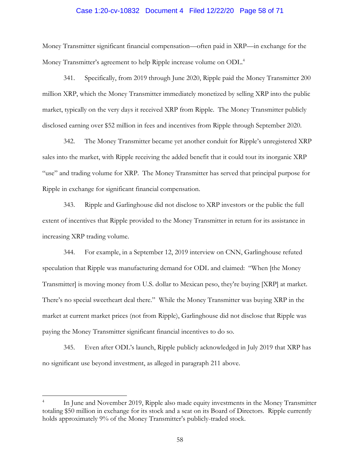# Case 1:20-cv-10832 Document 4 Filed 12/22/20 Page 58 of 71

Money Transmitter significant financial compensation—often paid in XRP—in exchange for the Money Transmitter's agreement to help Ripple increase volume on ODL.<sup>4</sup>

341. Specifically, from 2019 through June 2020, Ripple paid the Money Transmitter 200 million XRP, which the Money Transmitter immediately monetized by selling XRP into the public market, typically on the very days it received XRP from Ripple. The Money Transmitter publicly disclosed earning over \$52 million in fees and incentives from Ripple through September 2020.

342. The Money Transmitter became yet another conduit for Ripple's unregistered XRP sales into the market, with Ripple receiving the added benefit that it could tout its inorganic XRP "use" and trading volume for XRP. The Money Transmitter has served that principal purpose for Ripple in exchange for significant financial compensation.

343. Ripple and Garlinghouse did not disclose to XRP investors or the public the full extent of incentives that Ripple provided to the Money Transmitter in return for its assistance in increasing XRP trading volume.

344. For example, in a September 12, 2019 interview on CNN, Garlinghouse refuted speculation that Ripple was manufacturing demand for ODL and claimed: "When [the Money Transmitter] is moving money from U.S. dollar to Mexican peso, they're buying [XRP] at market. There's no special sweetheart deal there." While the Money Transmitter was buying XRP in the market at current market prices (not from Ripple), Garlinghouse did not disclose that Ripple was paying the Money Transmitter significant financial incentives to do so.

345. Even after ODL's launch, Ripple publicly acknowledged in July 2019 that XRP has no significant use beyond investment, as alleged in paragraph [211](#page-34-0) above.

 $\overline{a}$ 

<sup>4</sup> In June and November 2019, Ripple also made equity investments in the Money Transmitter totaling \$50 million in exchange for its stock and a seat on its Board of Directors. Ripple currently holds approximately 9% of the Money Transmitter's publicly-traded stock.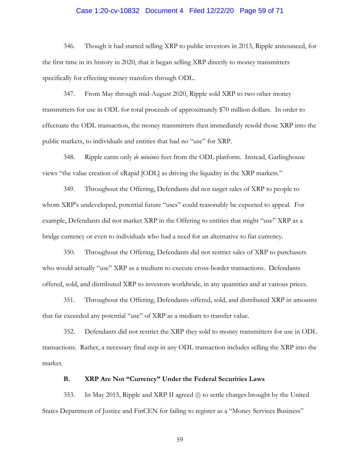#### Case 1:20-cv-10832 Document 4 Filed 12/22/20 Page 59 of 71

346. Though it had started selling XRP to public investors in 2013, Ripple announced, for the first time in its history in 2020, that it began selling XRP directly to money transmitters specifically for effecting money transfers through ODL.

347. From May through mid-August 2020, Ripple sold XRP to two other money transmitters for use in ODL for total proceeds of approximately \$70 million dollars. In order to effectuate the ODL transaction, the money transmitters then immediately resold those XRP into the public markets, to individuals and entities that had no "use" for XRP.

348. Ripple earns only *de minimis* fees from the ODL platform. Instead, Garlinghouse views "the value creation of xRapid [ODL] as driving the liquidity in the XRP markets."

349. Throughout the Offering, Defendants did not target sales of XRP to people to whom XRP's undeveloped, potential future "uses" could reasonably be expected to appeal. For example, Defendants did not market XRP in the Offering to entities that might "use" XRP as a bridge currency or even to individuals who had a need for an alternative to fiat currency.

350. Throughout the Offering, Defendants did not restrict sales of XRP to purchasers who would actually "use" XRP as a medium to execute cross-border transactions. Defendants offered, sold, and distributed XRP to investors worldwide, in any quantities and at various prices.

351. Throughout the Offering, Defendants offered, sold, and distributed XRP in amounts that far exceeded any potential "use" of XRP as a medium to transfer value.

352. Defendants did not restrict the XRP they sold to money transmitters for use in ODL transactions. Rather, a necessary final step in any ODL transaction includes selling the XRP into the market.

## **B. XRP Are Not "Currency" Under the Federal Securities Laws**

353. In May 2015, Ripple and XRP II agreed (i) to settle charges brought by the United States Department of Justice and FinCEN for failing to register as a "Money Services Business"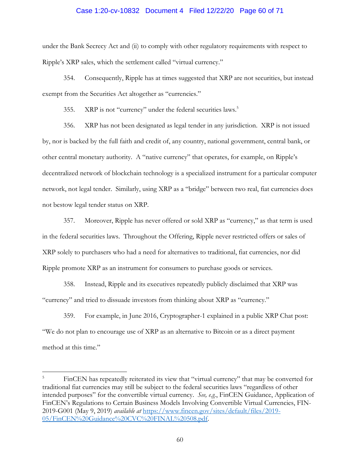### Case 1:20-cv-10832 Document 4 Filed 12/22/20 Page 60 of 71

under the Bank Secrecy Act and (ii) to comply with other regulatory requirements with respect to Ripple's XRP sales, which the settlement called "virtual currency."

354. Consequently, Ripple has at times suggested that XRP are not securities, but instead exempt from the Securities Act altogether as "currencies."

355. XRP is not "currency" under the federal securities laws.<sup>5</sup>

356. XRP has not been designated as legal tender in any jurisdiction. XRP is not issued by, nor is backed by the full faith and credit of, any country, national government, central bank, or other central monetary authority. A "native currency" that operates, for example, on Ripple's decentralized network of blockchain technology is a specialized instrument for a particular computer network, not legal tender. Similarly, using XRP as a "bridge" between two real, fiat currencies does not bestow legal tender status on XRP.

357. Moreover, Ripple has never offered or sold XRP as "currency," as that term is used in the federal securities laws. Throughout the Offering, Ripple never restricted offers or sales of XRP solely to purchasers who had a need for alternatives to traditional, fiat currencies, nor did Ripple promote XRP as an instrument for consumers to purchase goods or services.

358. Instead, Ripple and its executives repeatedly publicly disclaimed that XRP was "currency" and tried to dissuade investors from thinking about XRP as "currency."

359. For example, in June 2016, Cryptographer-1 explained in a public XRP Chat post: "We do not plan to encourage use of XRP as an alternative to Bitcoin or as a direct payment method at this time."

 $\overline{a}$ 

FinCEN has repeatedly reiterated its view that "virtual currency" that may be converted for traditional fiat currencies may still be subject to the federal securities laws "regardless of other intended purposes" for the convertible virtual currency. *See, e.g.*, FinCEN Guidance, Application of FinCEN's Regulations to Certain Business Models Involving Convertible Virtual Currencies, FIN-2019-G001 (May 9, 2019) *available at* [https://www.fincen.gov/sites/default/files/2019-](https://www.fincen.gov/sites/default/files/2019-05/FinCEN%20Guidance%20CVC%20FINAL%20508.pdf) [05/FinCEN%20Guidance%20CVC%20FINAL%20508.pdf.](https://www.fincen.gov/sites/default/files/2019-05/FinCEN%20Guidance%20CVC%20FINAL%20508.pdf)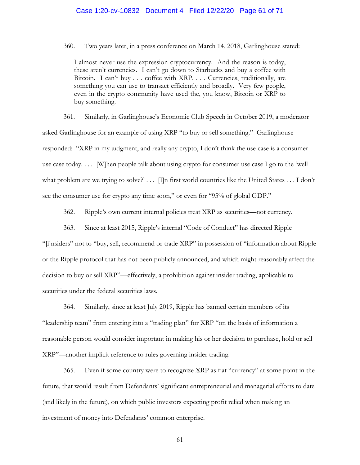#### Case 1:20-cv-10832 Document 4 Filed 12/22/20 Page 61 of 71

360. Two years later, in a press conference on March 14, 2018, Garlinghouse stated:

I almost never use the expression cryptocurrency. And the reason is today, these aren't currencies. I can't go down to Starbucks and buy a coffee with Bitcoin. I can't buy . . . coffee with XRP. . . . Currencies, traditionally, are something you can use to transact efficiently and broadly. Very few people, even in the crypto community have used the, you know, Bitcoin or XRP to buy something.

361. Similarly, in Garlinghouse's Economic Club Speech in October 2019, a moderator asked Garlinghouse for an example of using XRP "to buy or sell something." Garlinghouse responded: "XRP in my judgment, and really any crypto, I don't think the use case is a consumer use case today. . . . [W]hen people talk about using crypto for consumer use case I go to the 'well what problem are we trying to solve?' . . . [I]n first world countries like the United States . . . I don't see the consumer use for crypto any time soon," or even for "95% of global GDP."

362. Ripple's own current internal policies treat XRP as securities—not currency.

363. Since at least 2015, Ripple's internal "Code of Conduct" has directed Ripple

"[i]nsiders" not to "buy, sell, recommend or trade XRP" in possession of "information about Ripple or the Ripple protocol that has not been publicly announced, and which might reasonably affect the decision to buy or sell XRP"—effectively, a prohibition against insider trading, applicable to securities under the federal securities laws.

364. Similarly, since at least July 2019, Ripple has banned certain members of its "leadership team" from entering into a "trading plan" for XRP "on the basis of information a reasonable person would consider important in making his or her decision to purchase, hold or sell XRP"—another implicit reference to rules governing insider trading.

365. Even if some country were to recognize XRP as fiat "currency" at some point in the future, that would result from Defendants' significant entrepreneurial and managerial efforts to date (and likely in the future), on which public investors expecting profit relied when making an investment of money into Defendants' common enterprise.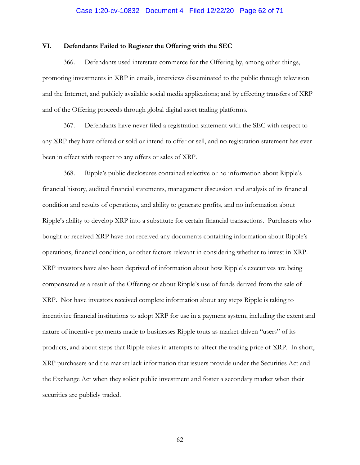# Case 1:20-cv-10832 Document 4 Filed 12/22/20 Page 62 of 71

#### **VI. Defendants Failed to Register the Offering with the SEC**

366. Defendants used interstate commerce for the Offering by, among other things, promoting investments in XRP in emails, interviews disseminated to the public through television and the Internet, and publicly available social media applications; and by effecting transfers of XRP and of the Offering proceeds through global digital asset trading platforms.

367. Defendants have never filed a registration statement with the SEC with respect to any XRP they have offered or sold or intend to offer or sell, and no registration statement has ever been in effect with respect to any offers or sales of XRP.

368. Ripple's public disclosures contained selective or no information about Ripple's financial history, audited financial statements, management discussion and analysis of its financial condition and results of operations, and ability to generate profits, and no information about Ripple's ability to develop XRP into a substitute for certain financial transactions. Purchasers who bought or received XRP have not received any documents containing information about Ripple's operations, financial condition, or other factors relevant in considering whether to invest in XRP. XRP investors have also been deprived of information about how Ripple's executives are being compensated as a result of the Offering or about Ripple's use of funds derived from the sale of XRP. Nor have investors received complete information about any steps Ripple is taking to incentivize financial institutions to adopt XRP for use in a payment system, including the extent and nature of incentive payments made to businesses Ripple touts as market-driven "users" of its products, and about steps that Ripple takes in attempts to affect the trading price of XRP. In short, XRP purchasers and the market lack information that issuers provide under the Securities Act and the Exchange Act when they solicit public investment and foster a secondary market when their securities are publicly traded.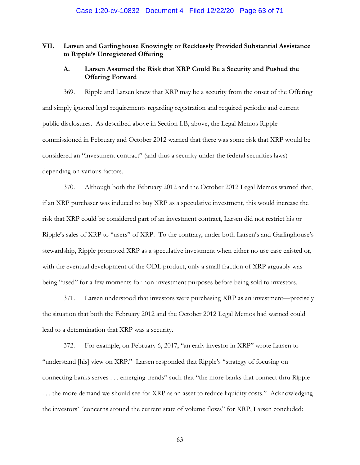## **VII. Larsen and Garlinghouse Knowingly or Recklessly Provided Substantial Assistance to Ripple's Unregistered Offering**

## **A. Larsen Assumed the Risk that XRP Could Be a Security and Pushed the Offering Forward**

369. Ripple and Larsen knew that XRP may be a security from the onset of the Offering and simply ignored legal requirements regarding registration and required periodic and current public disclosures. As described above in Section I.B, above, the Legal Memos Ripple commissioned in February and October 2012 warned that there was some risk that XRP would be considered an "investment contract" (and thus a security under the federal securities laws) depending on various factors.

370. Although both the February 2012 and the October 2012 Legal Memos warned that, if an XRP purchaser was induced to buy XRP as a speculative investment, this would increase the risk that XRP could be considered part of an investment contract, Larsen did not restrict his or Ripple's sales of XRP to "users" of XRP. To the contrary, under both Larsen's and Garlinghouse's stewardship, Ripple promoted XRP as a speculative investment when either no use case existed or, with the eventual development of the ODL product, only a small fraction of XRP arguably was being "used" for a few moments for non-investment purposes before being sold to investors.

371. Larsen understood that investors were purchasing XRP as an investment—precisely the situation that both the February 2012 and the October 2012 Legal Memos had warned could lead to a determination that XRP was a security.

372. For example, on February 6, 2017, "an early investor in XRP" wrote Larsen to "understand [his] view on XRP." Larsen responded that Ripple's "strategy of focusing on connecting banks serves . . . emerging trends" such that "the more banks that connect thru Ripple . . . the more demand we should see for XRP as an asset to reduce liquidity costs." Acknowledging the investors' "concerns around the current state of volume flows" for XRP, Larsen concluded: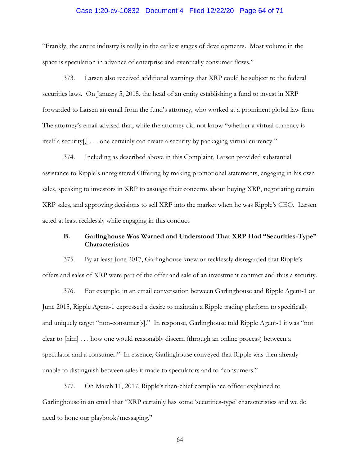# Case 1:20-cv-10832 Document 4 Filed 12/22/20 Page 64 of 71

"Frankly, the entire industry is really in the earliest stages of developments. Most volume in the space is speculation in advance of enterprise and eventually consumer flows."

373. Larsen also received additional warnings that XRP could be subject to the federal securities laws. On January 5, 2015, the head of an entity establishing a fund to invest in XRP forwarded to Larsen an email from the fund's attorney, who worked at a prominent global law firm. The attorney's email advised that, while the attorney did not know "whether a virtual currency is itself a security[,] . . . one certainly can create a security by packaging virtual currency."

374. Including as described above in this Complaint, Larsen provided substantial assistance to Ripple's unregistered Offering by making promotional statements, engaging in his own sales, speaking to investors in XRP to assuage their concerns about buying XRP, negotiating certain XRP sales, and approving decisions to sell XRP into the market when he was Ripple's CEO. Larsen acted at least recklessly while engaging in this conduct.

## **B. Garlinghouse Was Warned and Understood That XRP Had "Securities-Type" Characteristics**

375. By at least June 2017, Garlinghouse knew or recklessly disregarded that Ripple's offers and sales of XRP were part of the offer and sale of an investment contract and thus a security.

376. For example, in an email conversation between Garlinghouse and Ripple Agent-1 on June 2015, Ripple Agent-1 expressed a desire to maintain a Ripple trading platform to specifically and uniquely target "non-consumer[s]." In response, Garlinghouse told Ripple Agent-1 it was "not clear to [him] . . . how one would reasonably discern (through an online process) between a speculator and a consumer." In essence, Garlinghouse conveyed that Ripple was then already unable to distinguish between sales it made to speculators and to "consumers."

377. On March 11, 2017, Ripple's then-chief compliance officer explained to Garlinghouse in an email that "XRP certainly has some 'securities-type' characteristics and we do need to hone our playbook/messaging."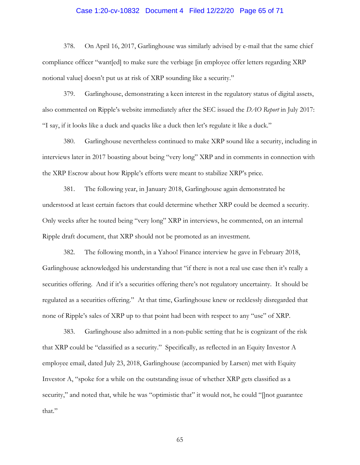# Case 1:20-cv-10832 Document 4 Filed 12/22/20 Page 65 of 71

378. On April 16, 2017, Garlinghouse was similarly advised by e-mail that the same chief compliance officer "want[ed] to make sure the verbiage [in employee offer letters regarding XRP notional value] doesn't put us at risk of XRP sounding like a security."

379. Garlinghouse, demonstrating a keen interest in the regulatory status of digital assets, also commented on Ripple's website immediately after the SEC issued the *DAO Report* in July 2017: "I say, if it looks like a duck and quacks like a duck then let's regulate it like a duck."

380. Garlinghouse nevertheless continued to make XRP sound like a security, including in interviews later in 2017 boasting about being "very long" XRP and in comments in connection with the XRP Escrow about how Ripple's efforts were meant to stabilize XRP's price.

381. The following year, in January 2018, Garlinghouse again demonstrated he understood at least certain factors that could determine whether XRP could be deemed a security. Only weeks after he touted being "very long" XRP in interviews, he commented, on an internal Ripple draft document, that XRP should not be promoted as an investment.

382. The following month, in a Yahoo! Finance interview he gave in February 2018, Garlinghouse acknowledged his understanding that "if there is not a real use case then it's really a securities offering. And if it's a securities offering there's not regulatory uncertainty. It should be regulated as a securities offering." At that time, Garlinghouse knew or recklessly disregarded that none of Ripple's sales of XRP up to that point had been with respect to any "use" of XRP.

383. Garlinghouse also admitted in a non-public setting that he is cognizant of the risk that XRP could be "classified as a security." Specifically, as reflected in an Equity Investor A employee email, dated July 23, 2018, Garlinghouse (accompanied by Larsen) met with Equity Investor A, "spoke for a while on the outstanding issue of whether XRP gets classified as a security," and noted that, while he was "optimistic that" it would not, he could "[]not guarantee that."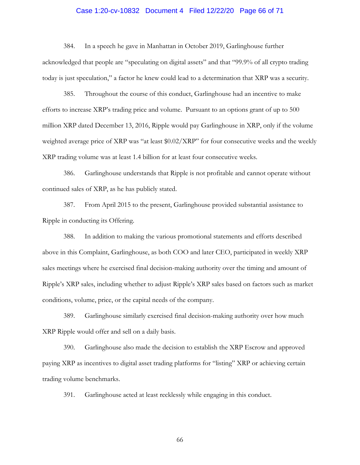# Case 1:20-cv-10832 Document 4 Filed 12/22/20 Page 66 of 71

384. In a speech he gave in Manhattan in October 2019, Garlinghouse further acknowledged that people are "speculating on digital assets" and that "99.9% of all crypto trading today is just speculation," a factor he knew could lead to a determination that XRP was a security.

385. Throughout the course of this conduct, Garlinghouse had an incentive to make efforts to increase XRP's trading price and volume. Pursuant to an options grant of up to 500 million XRP dated December 13, 2016, Ripple would pay Garlinghouse in XRP, only if the volume weighted average price of XRP was "at least \$0.02/XRP" for four consecutive weeks and the weekly XRP trading volume was at least 1.4 billion for at least four consecutive weeks.

386. Garlinghouse understands that Ripple is not profitable and cannot operate without continued sales of XRP, as he has publicly stated.

387. From April 2015 to the present, Garlinghouse provided substantial assistance to Ripple in conducting its Offering.

388. In addition to making the various promotional statements and efforts described above in this Complaint, Garlinghouse, as both COO and later CEO, participated in weekly XRP sales meetings where he exercised final decision-making authority over the timing and amount of Ripple's XRP sales, including whether to adjust Ripple's XRP sales based on factors such as market conditions, volume, price, or the capital needs of the company.

389. Garlinghouse similarly exercised final decision-making authority over how much XRP Ripple would offer and sell on a daily basis.

390. Garlinghouse also made the decision to establish the XRP Escrow and approved paying XRP as incentives to digital asset trading platforms for "listing" XRP or achieving certain trading volume benchmarks.

391. Garlinghouse acted at least recklessly while engaging in this conduct.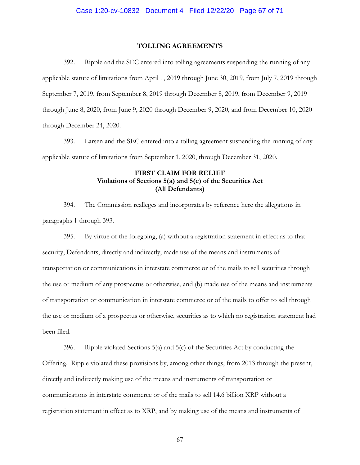#### **TOLLING AGREEMENTS**

392. Ripple and the SEC entered into tolling agreements suspending the running of any applicable statute of limitations from April 1, 2019 through June 30, 2019, from July 7, 2019 through September 7, 2019, from September 8, 2019 through December 8, 2019, from December 9, 2019 through June 8, 2020, from June 9, 2020 through December 9, 2020, and from December 10, 2020 through December 24, 2020.

<span id="page-66-0"></span>393. Larsen and the SEC entered into a tolling agreement suspending the running of any applicable statute of limitations from September 1, 2020, through December 31, 2020.

## **FIRST CLAIM FOR RELIEF Violations of Sections 5(a) and 5(c) of the Securities Act (All Defendants)**

394. The Commission realleges and incorporates by reference here the allegations in paragraphs 1 through [393.](#page-66-0)

395. By virtue of the foregoing, (a) without a registration statement in effect as to that security, Defendants, directly and indirectly, made use of the means and instruments of transportation or communications in interstate commerce or of the mails to sell securities through the use or medium of any prospectus or otherwise, and (b) made use of the means and instruments of transportation or communication in interstate commerce or of the mails to offer to sell through the use or medium of a prospectus or otherwise, securities as to which no registration statement had been filed.

396. Ripple violated Sections 5(a) and 5(c) of the Securities Act by conducting the Offering. Ripple violated these provisions by, among other things, from 2013 through the present, directly and indirectly making use of the means and instruments of transportation or communications in interstate commerce or of the mails to sell 14.6 billion XRP without a registration statement in effect as to XRP, and by making use of the means and instruments of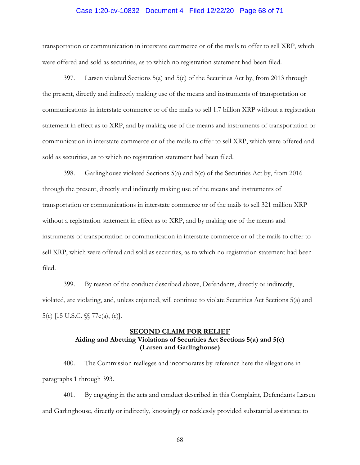#### Case 1:20-cv-10832 Document 4 Filed 12/22/20 Page 68 of 71

transportation or communication in interstate commerce or of the mails to offer to sell XRP, which were offered and sold as securities, as to which no registration statement had been filed.

397. Larsen violated Sections 5(a) and 5(c) of the Securities Act by, from 2013 through the present, directly and indirectly making use of the means and instruments of transportation or communications in interstate commerce or of the mails to sell 1.7 billion XRP without a registration statement in effect as to XRP, and by making use of the means and instruments of transportation or communication in interstate commerce or of the mails to offer to sell XRP, which were offered and sold as securities, as to which no registration statement had been filed.

398. Garlinghouse violated Sections 5(a) and 5(c) of the Securities Act by, from 2016 through the present, directly and indirectly making use of the means and instruments of transportation or communications in interstate commerce or of the mails to sell 321 million XRP without a registration statement in effect as to XRP, and by making use of the means and instruments of transportation or communication in interstate commerce or of the mails to offer to sell XRP, which were offered and sold as securities, as to which no registration statement had been filed.

399. By reason of the conduct described above, Defendants, directly or indirectly, violated, are violating, and, unless enjoined, will continue to violate Securities Act Sections 5(a) and 5(c) [15 U.S.C. §§ 77e(a), (c)].

## **SECOND CLAIM FOR RELIEF Aiding and Abetting Violations of Securities Act Sections 5(a) and 5(c) (Larsen and Garlinghouse)**

400. The Commission realleges and incorporates by reference here the allegations in paragraphs 1 through [393.](#page-66-0)

401. By engaging in the acts and conduct described in this Complaint, Defendants Larsen and Garlinghouse, directly or indirectly, knowingly or recklessly provided substantial assistance to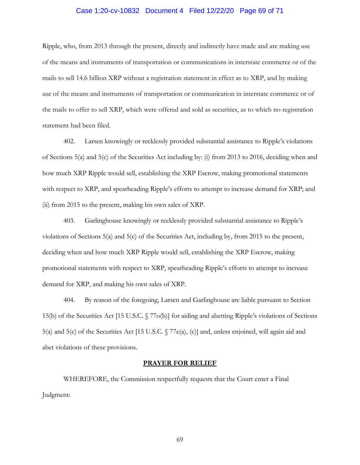#### Case 1:20-cv-10832 Document 4 Filed 12/22/20 Page 69 of 71

Ripple, who, from 2013 through the present, directly and indirectly have made and are making use of the means and instruments of transportation or communications in interstate commerce or of the mails to sell 14.6 billion XRP without a registration statement in effect as to XRP, and by making use of the means and instruments of transportation or communication in interstate commerce or of the mails to offer to sell XRP, which were offered and sold as securities, as to which no registration statement had been filed.

402. Larsen knowingly or recklessly provided substantial assistance to Ripple's violations of Sections 5(a) and 5(c) of the Securities Act including by: (i) from 2013 to 2016, deciding when and how much XRP Ripple would sell, establishing the XRP Escrow, making promotional statements with respect to XRP, and spearheading Ripple's efforts to attempt to increase demand for XRP; and (ii) from 2015 to the present, making his own sales of XRP.

403. Garlinghouse knowingly or recklessly provided substantial assistance to Ripple's violations of Sections 5(a) and 5(c) of the Securities Act, including by, from 2015 to the present, deciding when and how much XRP Ripple would sell, establishing the XRP Escrow, making promotional statements with respect to XRP, spearheading Ripple's efforts to attempt to increase demand for XRP, and making his own sales of XRP.

404. By reason of the foregoing, Larsen and Garlinghouse are liable pursuant to Section 15(b) of the Securities Act [15 U.S.C. § 77o(b)] for aiding and abetting Ripple's violations of Sections 5(a) and 5(c) of the Securities Act [15 U.S.C. § 77e(a), (c)] and, unless enjoined, will again aid and abet violations of these provisions.

#### **PRAYER FOR RELIEF**

WHEREFORE, the Commission respectfully requests that the Court enter a Final Judgment: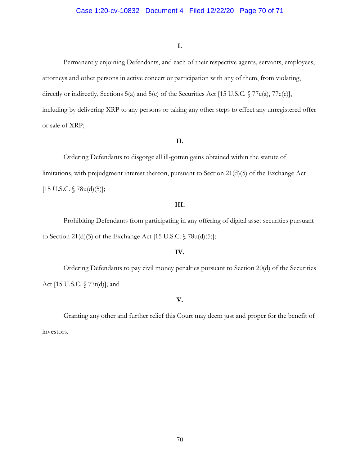#### **I.**

Permanently enjoining Defendants, and each of their respective agents, servants, employees, attorneys and other persons in active concert or participation with any of them, from violating, directly or indirectly, Sections 5(a) and 5(c) of the Securities Act [15 U.S.C. § 77e(a), 77e(c)], including by delivering XRP to any persons or taking any other steps to effect any unregistered offer or sale of XRP;

### **II.**

Ordering Defendants to disgorge all ill-gotten gains obtained within the statute of limitations, with prejudgment interest thereon, pursuant to Section 21(d)(5) of the Exchange Act  $[15 \text{ U.S.C. } § 78u(d)(5)];$ 

## **III.**

Prohibiting Defendants from participating in any offering of digital asset securities pursuant to Section 21(d)(5) of the Exchange Act [15 U.S.C.  $\sqrt{78u(d)(5)}$ ];

## **IV.**

Ordering Defendants to pay civil money penalties pursuant to Section 20(d) of the Securities Act [15 U.S.C. § 77t(d)]; and

## **V.**

Granting any other and further relief this Court may deem just and proper for the benefit of investors.